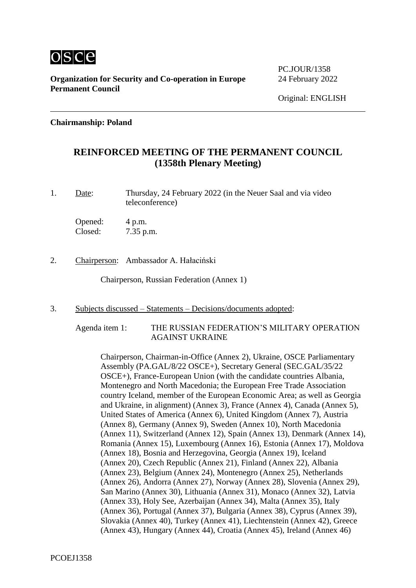

PC.JOUR/1358

#### **Chairmanship: Poland**

# **REINFORCED MEETING OF THE PERMANENT COUNCIL (1358th Plenary Meeting)**

1. Date: Thursday, 24 February 2022 (in the Neuer Saal and via video teleconference)

Opened: 4 p.m. Closed: 7.35 p.m.

2. Chairperson: Ambassador A. Hałaciński

Chairperson, Russian Federation (Annex 1)

3. Subjects discussed – Statements – Decisions/documents adopted:

#### Agenda item 1: THE RUSSIAN FEDERATION'S MILITARY OPERATION AGAINST UKRAINE

Chairperson, Chairman-in-Office (Annex 2), Ukraine, OSCE Parliamentary Assembly (PA.GAL/8/22 OSCE+), Secretary General (SEC.GAL/35/22 OSCE+), France-European Union (with the candidate countries Albania, Montenegro and North Macedonia; the European Free Trade Association country Iceland, member of the European Economic Area; as well as Georgia and Ukraine, in alignment) (Annex 3), France (Annex 4), Canada (Annex 5), United States of America (Annex 6), United Kingdom (Annex 7), Austria (Annex 8), Germany (Annex 9), Sweden (Annex 10), North Macedonia (Annex 11), Switzerland (Annex 12), Spain (Annex 13), Denmark (Annex 14), Romania (Annex 15), Luxembourg (Annex 16), Estonia (Annex 17), Moldova (Annex 18), Bosnia and Herzegovina, Georgia (Annex 19), Iceland (Annex 20), Czech Republic (Annex 21), Finland (Annex 22), Albania (Annex 23), Belgium (Annex 24), Montenegro (Annex 25), Netherlands (Annex 26), Andorra (Annex 27), Norway (Annex 28), Slovenia (Annex 29), San Marino (Annex 30), Lithuania (Annex 31), Monaco (Annex 32), Latvia (Annex 33), Holy See, Azerbaijan (Annex 34), Malta (Annex 35), Italy (Annex 36), Portugal (Annex 37), Bulgaria (Annex 38), Cyprus (Annex 39), Slovakia (Annex 40), Turkey (Annex 41), Liechtenstein (Annex 42), Greece (Annex 43), Hungary (Annex 44), Croatia (Annex 45), Ireland (Annex 46)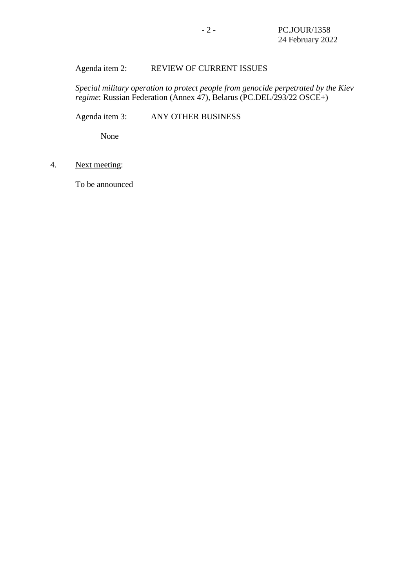## Agenda item 2: REVIEW OF CURRENT ISSUES

*Special military operation to protect people from genocide perpetrated by the Kiev regime*: Russian Federation (Annex 47), Belarus (PC.DEL/293/22 OSCE+)

Agenda item 3: ANY OTHER BUSINESS

None

4. Next meeting:

To be announced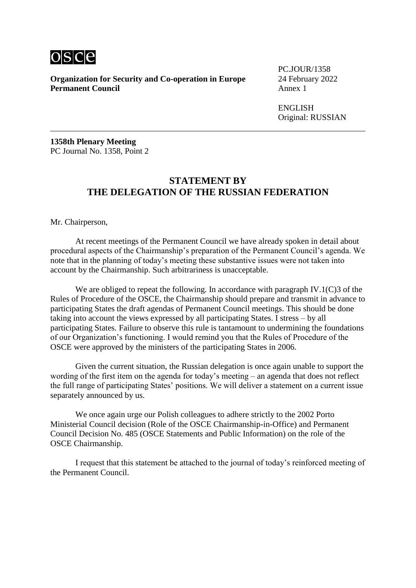

PC.JOUR/1358

ENGLISH Original: RUSSIAN

**1358th Plenary Meeting** PC Journal No. 1358, Point 2

#### **STATEMENT BY THE DELEGATION OF THE RUSSIAN FEDERATION**

Mr. Chairperson,

At recent meetings of the Permanent Council we have already spoken in detail about procedural aspects of the Chairmanship's preparation of the Permanent Council's agenda. We note that in the planning of today's meeting these substantive issues were not taken into account by the Chairmanship. Such arbitrariness is unacceptable.

We are obliged to repeat the following. In accordance with paragraph IV.1(C)3 of the Rules of Procedure of the OSCE, the Chairmanship should prepare and transmit in advance to participating States the draft agendas of Permanent Council meetings. This should be done taking into account the views expressed by all participating States. I stress – by all participating States. Failure to observe this rule is tantamount to undermining the foundations of our Organization's functioning. I would remind you that the Rules of Procedure of the OSCE were approved by the ministers of the participating States in 2006.

Given the current situation, the Russian delegation is once again unable to support the wording of the first item on the agenda for today's meeting – an agenda that does not reflect the full range of participating States' positions. We will deliver a statement on a current issue separately announced by us.

We once again urge our Polish colleagues to adhere strictly to the 2002 Porto Ministerial Council decision (Role of the OSCE Chairmanship-in-Office) and Permanent Council Decision No. 485 (OSCE Statements and Public Information) on the role of the OSCE Chairmanship.

I request that this statement be attached to the journal of today's reinforced meeting of the Permanent Council.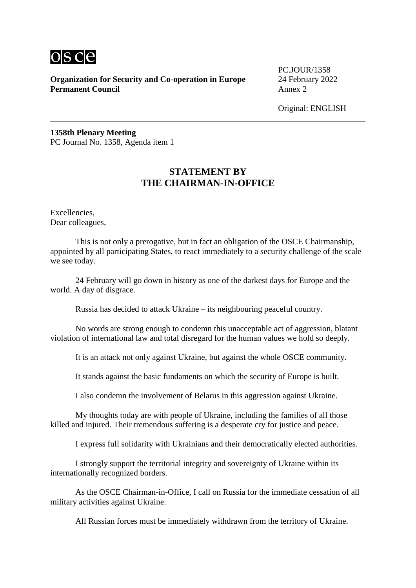

PC.JOUR/1358

Original: ENGLISH

**1358th Plenary Meeting** PC Journal No. 1358, Agenda item 1

# **STATEMENT BY THE CHAIRMAN-IN-OFFICE**

Excellencies, Dear colleagues,

This is not only a prerogative, but in fact an obligation of the OSCE Chairmanship, appointed by all participating States, to react immediately to a security challenge of the scale we see today.

24 February will go down in history as one of the darkest days for Europe and the world. A day of disgrace.

Russia has decided to attack Ukraine – its neighbouring peaceful country.

No words are strong enough to condemn this unacceptable act of aggression, blatant violation of international law and total disregard for the human values we hold so deeply.

It is an attack not only against Ukraine, but against the whole OSCE community.

It stands against the basic fundaments on which the security of Europe is built.

I also condemn the involvement of Belarus in this aggression against Ukraine.

My thoughts today are with people of Ukraine, including the families of all those killed and injured. Their tremendous suffering is a desperate cry for justice and peace.

I express full solidarity with Ukrainians and their democratically elected authorities.

I strongly support the territorial integrity and sovereignty of Ukraine within its internationally recognized borders.

As the OSCE Chairman-in-Office, I call on Russia for the immediate cessation of all military activities against Ukraine.

All Russian forces must be immediately withdrawn from the territory of Ukraine.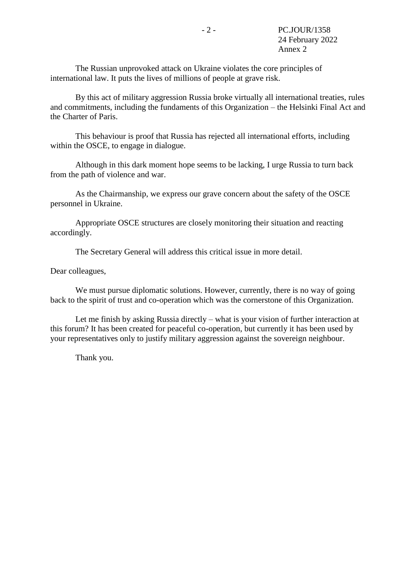The Russian unprovoked attack on Ukraine violates the core principles of international law. It puts the lives of millions of people at grave risk.

By this act of military aggression Russia broke virtually all international treaties, rules and commitments, including the fundaments of this Organization – the Helsinki Final Act and the Charter of Paris.

This behaviour is proof that Russia has rejected all international efforts, including within the OSCE, to engage in dialogue.

Although in this dark moment hope seems to be lacking, I urge Russia to turn back from the path of violence and war.

As the Chairmanship, we express our grave concern about the safety of the OSCE personnel in Ukraine.

Appropriate OSCE structures are closely monitoring their situation and reacting accordingly.

The Secretary General will address this critical issue in more detail.

Dear colleagues,

We must pursue diplomatic solutions. However, currently, there is no way of going back to the spirit of trust and co-operation which was the cornerstone of this Organization.

Let me finish by asking Russia directly – what is your vision of further interaction at this forum? It has been created for peaceful co-operation, but currently it has been used by your representatives only to justify military aggression against the sovereign neighbour.

Thank you.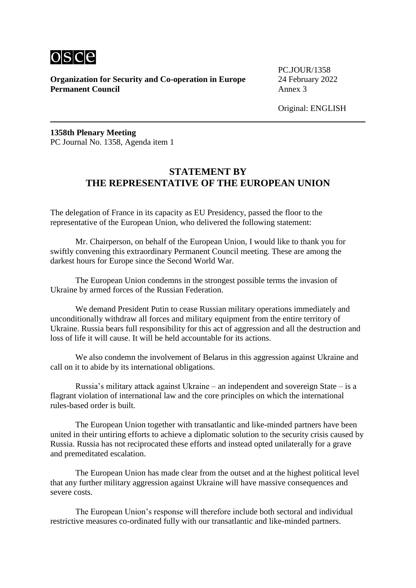

PC.JOUR/1358

Original: ENGLISH

**1358th Plenary Meeting** PC Journal No. 1358, Agenda item 1

# **STATEMENT BY THE REPRESENTATIVE OF THE EUROPEAN UNION**

The delegation of France in its capacity as EU Presidency, passed the floor to the representative of the European Union, who delivered the following statement:

Mr. Chairperson, on behalf of the European Union, I would like to thank you for swiftly convening this extraordinary Permanent Council meeting. These are among the darkest hours for Europe since the Second World War.

The European Union condemns in the strongest possible terms the invasion of Ukraine by armed forces of the Russian Federation.

We demand President Putin to cease Russian military operations immediately and unconditionally withdraw all forces and military equipment from the entire territory of Ukraine. Russia bears full responsibility for this act of aggression and all the destruction and loss of life it will cause. It will be held accountable for its actions.

We also condemn the involvement of Belarus in this aggression against Ukraine and call on it to abide by its international obligations.

Russia's military attack against Ukraine – an independent and sovereign State – is a flagrant violation of international law and the core principles on which the international rules-based order is built.

The European Union together with transatlantic and like-minded partners have been united in their untiring efforts to achieve a diplomatic solution to the security crisis caused by Russia. Russia has not reciprocated these efforts and instead opted unilaterally for a grave and premeditated escalation.

The European Union has made clear from the outset and at the highest political level that any further military aggression against Ukraine will have massive consequences and severe costs.

The European Union's response will therefore include both sectoral and individual restrictive measures co-ordinated fully with our transatlantic and like-minded partners.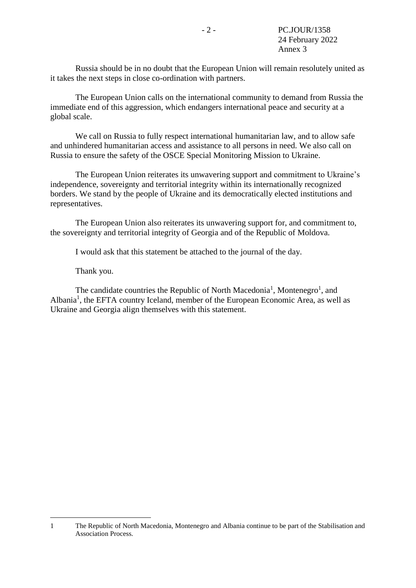Russia should be in no doubt that the European Union will remain resolutely united as it takes the next steps in close co-ordination with partners.

The European Union calls on the international community to demand from Russia the immediate end of this aggression, which endangers international peace and security at a global scale.

We call on Russia to fully respect international humanitarian law, and to allow safe and unhindered humanitarian access and assistance to all persons in need. We also call on Russia to ensure the safety of the OSCE Special Monitoring Mission to Ukraine.

The European Union reiterates its unwavering support and commitment to Ukraine's independence, sovereignty and territorial integrity within its internationally recognized borders. We stand by the people of Ukraine and its democratically elected institutions and representatives.

The European Union also reiterates its unwavering support for, and commitment to, the sovereignty and territorial integrity of Georgia and of the Republic of Moldova.

I would ask that this statement be attached to the journal of the day.

<span id="page-6-0"></span>Thank you.

1

The candidate c[o](#page-6-0)untries the Republic of North Macedonia<sup>1</sup>, Montenegro<sup>1</sup>, and Albania<sup>[1](#page-6-0)</sup>, the EFTA country Iceland, member of the European Economic Area, as well as Ukraine and Georgia align themselves with this statement.

<sup>1</sup> The Republic of North Macedonia, Montenegro and Albania continue to be part of the Stabilisation and Association Process.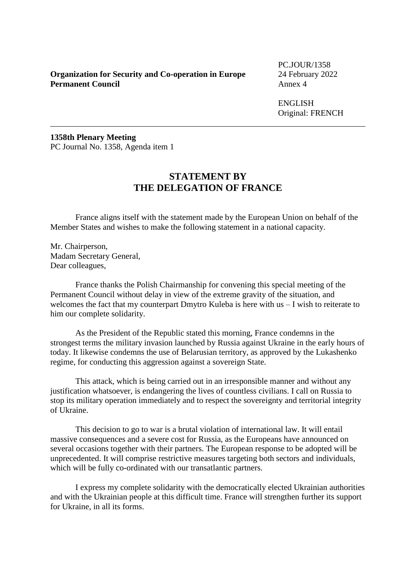PC.JOUR/1358

ENGLISH Original: FRENCH

**1358th Plenary Meeting** PC Journal No. 1358, Agenda item 1

# **STATEMENT BY THE DELEGATION OF FRANCE**

France aligns itself with the statement made by the European Union on behalf of the Member States and wishes to make the following statement in a national capacity.

Mr. Chairperson, Madam Secretary General, Dear colleagues,

France thanks the Polish Chairmanship for convening this special meeting of the Permanent Council without delay in view of the extreme gravity of the situation, and welcomes the fact that my counterpart Dmytro Kuleba is here with us – I wish to reiterate to him our complete solidarity.

As the President of the Republic stated this morning, France condemns in the strongest terms the military invasion launched by Russia against Ukraine in the early hours of today. It likewise condemns the use of Belarusian territory, as approved by the Lukashenko regime, for conducting this aggression against a sovereign State.

This attack, which is being carried out in an irresponsible manner and without any justification whatsoever, is endangering the lives of countless civilians. I call on Russia to stop its military operation immediately and to respect the sovereignty and territorial integrity of Ukraine.

This decision to go to war is a brutal violation of international law. It will entail massive consequences and a severe cost for Russia, as the Europeans have announced on several occasions together with their partners. The European response to be adopted will be unprecedented. It will comprise restrictive measures targeting both sectors and individuals, which will be fully co-ordinated with our transatlantic partners.

I express my complete solidarity with the democratically elected Ukrainian authorities and with the Ukrainian people at this difficult time. France will strengthen further its support for Ukraine, in all its forms.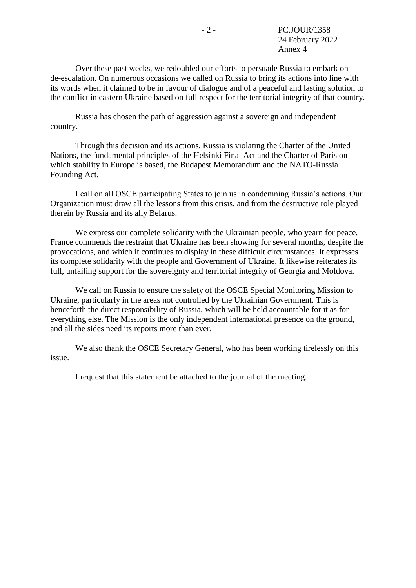Over these past weeks, we redoubled our efforts to persuade Russia to embark on de-escalation. On numerous occasions we called on Russia to bring its actions into line with its words when it claimed to be in favour of dialogue and of a peaceful and lasting solution to the conflict in eastern Ukraine based on full respect for the territorial integrity of that country.

Russia has chosen the path of aggression against a sovereign and independent country.

Through this decision and its actions, Russia is violating the Charter of the United Nations, the fundamental principles of the Helsinki Final Act and the Charter of Paris on which stability in Europe is based, the Budapest Memorandum and the NATO-Russia Founding Act.

I call on all OSCE participating States to join us in condemning Russia's actions. Our Organization must draw all the lessons from this crisis, and from the destructive role played therein by Russia and its ally Belarus.

We express our complete solidarity with the Ukrainian people, who yearn for peace. France commends the restraint that Ukraine has been showing for several months, despite the provocations, and which it continues to display in these difficult circumstances. It expresses its complete solidarity with the people and Government of Ukraine. It likewise reiterates its full, unfailing support for the sovereignty and territorial integrity of Georgia and Moldova.

We call on Russia to ensure the safety of the OSCE Special Monitoring Mission to Ukraine, particularly in the areas not controlled by the Ukrainian Government. This is henceforth the direct responsibility of Russia, which will be held accountable for it as for everything else. The Mission is the only independent international presence on the ground, and all the sides need its reports more than ever.

We also thank the OSCE Secretary General, who has been working tirelessly on this issue.

I request that this statement be attached to the journal of the meeting.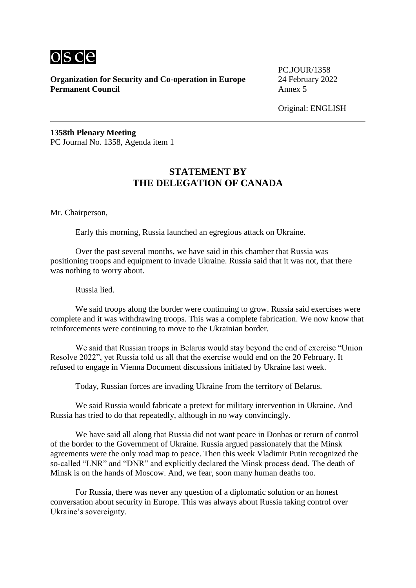

PC.JOUR/1358

Original: ENGLISH

**1358th Plenary Meeting** PC Journal No. 1358, Agenda item 1

# **STATEMENT BY THE DELEGATION OF CANADA**

Mr. Chairperson,

Early this morning, Russia launched an egregious attack on Ukraine.

Over the past several months, we have said in this chamber that Russia was positioning troops and equipment to invade Ukraine. Russia said that it was not, that there was nothing to worry about.

Russia lied.

We said troops along the border were continuing to grow. Russia said exercises were complete and it was withdrawing troops. This was a complete fabrication. We now know that reinforcements were continuing to move to the Ukrainian border.

We said that Russian troops in Belarus would stay beyond the end of exercise "Union Resolve 2022", yet Russia told us all that the exercise would end on the 20 February. It refused to engage in Vienna Document discussions initiated by Ukraine last week.

Today, Russian forces are invading Ukraine from the territory of Belarus.

We said Russia would fabricate a pretext for military intervention in Ukraine. And Russia has tried to do that repeatedly, although in no way convincingly.

We have said all along that Russia did not want peace in Donbas or return of control of the border to the Government of Ukraine. Russia argued passionately that the Minsk agreements were the only road map to peace. Then this week Vladimir Putin recognized the so-called "LNR" and "DNR" and explicitly declared the Minsk process dead. The death of Minsk is on the hands of Moscow. And, we fear, soon many human deaths too.

For Russia, there was never any question of a diplomatic solution or an honest conversation about security in Europe. This was always about Russia taking control over Ukraine's sovereignty.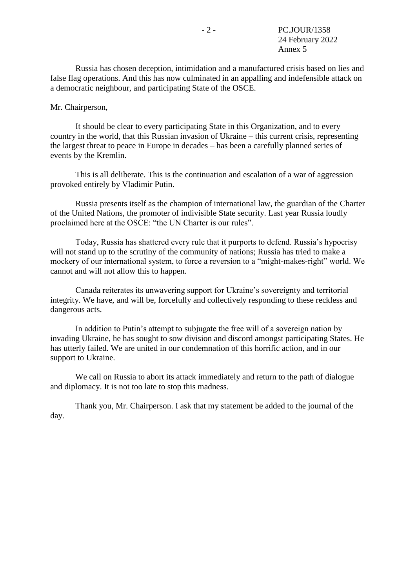Russia has chosen deception, intimidation and a manufactured crisis based on lies and false flag operations. And this has now culminated in an appalling and indefensible attack on a democratic neighbour, and participating State of the OSCE.

Mr. Chairperson,

It should be clear to every participating State in this Organization, and to every country in the world, that this Russian invasion of Ukraine – this current crisis, representing the largest threat to peace in Europe in decades – has been a carefully planned series of events by the Kremlin.

This is all deliberate. This is the continuation and escalation of a war of aggression provoked entirely by Vladimir Putin.

Russia presents itself as the champion of international law, the guardian of the Charter of the United Nations, the promoter of indivisible State security. Last year Russia loudly proclaimed here at the OSCE: "the UN Charter is our rules".

Today, Russia has shattered every rule that it purports to defend. Russia's hypocrisy will not stand up to the scrutiny of the community of nations; Russia has tried to make a mockery of our international system, to force a reversion to a "might-makes-right" world. We cannot and will not allow this to happen.

Canada reiterates its unwavering support for Ukraine's sovereignty and territorial integrity. We have, and will be, forcefully and collectively responding to these reckless and dangerous acts.

In addition to Putin's attempt to subjugate the free will of a sovereign nation by invading Ukraine, he has sought to sow division and discord amongst participating States. He has utterly failed. We are united in our condemnation of this horrific action, and in our support to Ukraine.

We call on Russia to abort its attack immediately and return to the path of dialogue and diplomacy. It is not too late to stop this madness.

Thank you, Mr. Chairperson. I ask that my statement be added to the journal of the day.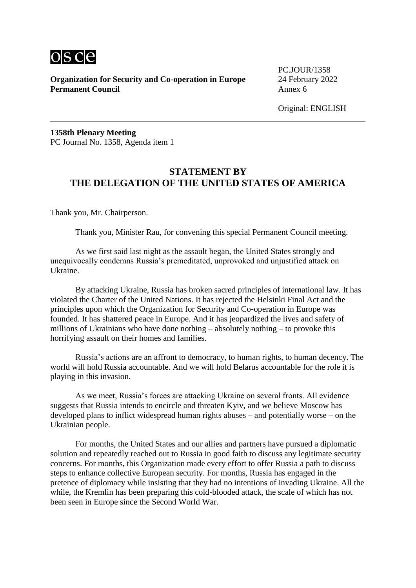

PC.JOUR/1358

**1358th Plenary Meeting** PC Journal No. 1358, Agenda item 1

# **STATEMENT BY THE DELEGATION OF THE UNITED STATES OF AMERICA**

Thank you, Mr. Chairperson.

Thank you, Minister Rau, for convening this special Permanent Council meeting.

As we first said last night as the assault began, the United States strongly and unequivocally condemns Russia's premeditated, unprovoked and unjustified attack on Ukraine.

By attacking Ukraine, Russia has broken sacred principles of international law. It has violated the Charter of the United Nations. It has rejected the Helsinki Final Act and the principles upon which the Organization for Security and Co-operation in Europe was founded. It has shattered peace in Europe. And it has jeopardized the lives and safety of millions of Ukrainians who have done nothing – absolutely nothing – to provoke this horrifying assault on their homes and families.

Russia's actions are an affront to democracy, to human rights, to human decency. The world will hold Russia accountable. And we will hold Belarus accountable for the role it is playing in this invasion.

As we meet, Russia's forces are attacking Ukraine on several fronts. All evidence suggests that Russia intends to encircle and threaten Kyiv, and we believe Moscow has developed plans to inflict widespread human rights abuses – and potentially worse – on the Ukrainian people.

For months, the United States and our allies and partners have pursued a diplomatic solution and repeatedly reached out to Russia in good faith to discuss any legitimate security concerns. For months, this Organization made every effort to offer Russia a path to discuss steps to enhance collective European security. For months, Russia has engaged in the pretence of diplomacy while insisting that they had no intentions of invading Ukraine. All the while, the Kremlin has been preparing this cold-blooded attack, the scale of which has not been seen in Europe since the Second World War.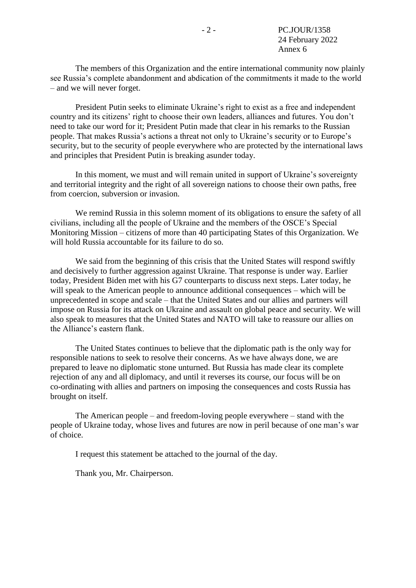The members of this Organization and the entire international community now plainly see Russia's complete abandonment and abdication of the commitments it made to the world – and we will never forget.

President Putin seeks to eliminate Ukraine's right to exist as a free and independent country and its citizens' right to choose their own leaders, alliances and futures. You don't need to take our word for it; President Putin made that clear in his remarks to the Russian people. That makes Russia's actions a threat not only to Ukraine's security or to Europe's security, but to the security of people everywhere who are protected by the international laws and principles that President Putin is breaking asunder today.

In this moment, we must and will remain united in support of Ukraine's sovereignty and territorial integrity and the right of all sovereign nations to choose their own paths, free from coercion, subversion or invasion.

We remind Russia in this solemn moment of its obligations to ensure the safety of all civilians, including all the people of Ukraine and the members of the OSCE's Special Monitoring Mission – citizens of more than 40 participating States of this Organization. We will hold Russia accountable for its failure to do so.

We said from the beginning of this crisis that the United States will respond swiftly and decisively to further aggression against Ukraine. That response is under way. Earlier today, President Biden met with his G7 counterparts to discuss next steps. Later today, he will speak to the American people to announce additional consequences – which will be unprecedented in scope and scale – that the United States and our allies and partners will impose on Russia for its attack on Ukraine and assault on global peace and security. We will also speak to measures that the United States and NATO will take to reassure our allies on the Alliance's eastern flank.

The United States continues to believe that the diplomatic path is the only way for responsible nations to seek to resolve their concerns. As we have always done, we are prepared to leave no diplomatic stone unturned. But Russia has made clear its complete rejection of any and all diplomacy, and until it reverses its course, our focus will be on co-ordinating with allies and partners on imposing the consequences and costs Russia has brought on itself.

The American people – and freedom-loving people everywhere – stand with the people of Ukraine today, whose lives and futures are now in peril because of one man's war of choice.

I request this statement be attached to the journal of the day.

Thank you, Mr. Chairperson.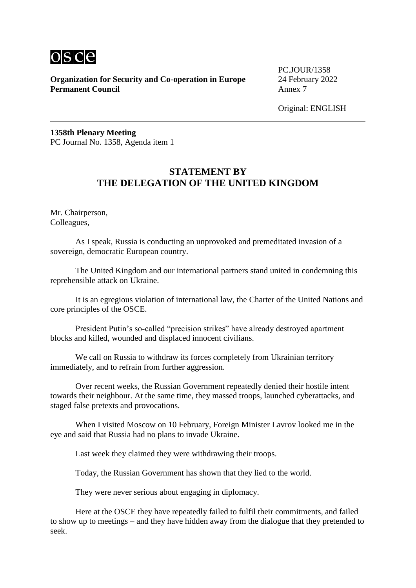

PC.JOUR/1358

Original: ENGLISH

**1358th Plenary Meeting** PC Journal No. 1358, Agenda item 1

# **STATEMENT BY THE DELEGATION OF THE UNITED KINGDOM**

Mr. Chairperson, Colleagues,

As I speak, Russia is conducting an unprovoked and premeditated invasion of a sovereign, democratic European country.

The United Kingdom and our international partners stand united in condemning this reprehensible attack on Ukraine.

It is an egregious violation of international law, the Charter of the United Nations and core principles of the OSCE.

President Putin's so-called "precision strikes" have already destroyed apartment blocks and killed, wounded and displaced innocent civilians.

We call on Russia to withdraw its forces completely from Ukrainian territory immediately, and to refrain from further aggression.

Over recent weeks, the Russian Government repeatedly denied their hostile intent towards their neighbour. At the same time, they massed troops, launched cyberattacks, and staged false pretexts and provocations.

When I visited Moscow on 10 February, Foreign Minister Lavrov looked me in the eye and said that Russia had no plans to invade Ukraine.

Last week they claimed they were withdrawing their troops.

Today, the Russian Government has shown that they lied to the world.

They were never serious about engaging in diplomacy.

Here at the OSCE they have repeatedly failed to fulfil their commitments, and failed to show up to meetings – and they have hidden away from the dialogue that they pretended to seek.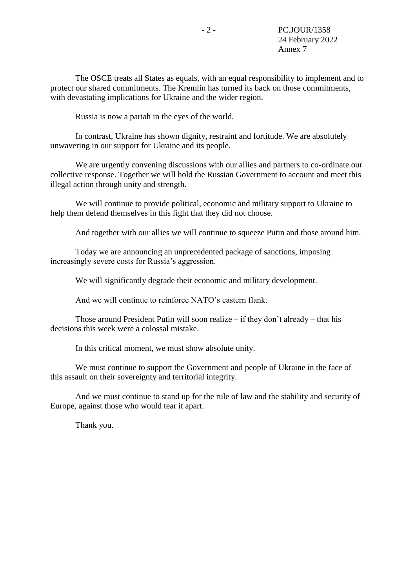The OSCE treats all States as equals, with an equal responsibility to implement and to protect our shared commitments. The Kremlin has turned its back on those commitments, with devastating implications for Ukraine and the wider region.

Russia is now a pariah in the eyes of the world.

In contrast, Ukraine has shown dignity, restraint and fortitude. We are absolutely unwavering in our support for Ukraine and its people.

We are urgently convening discussions with our allies and partners to co-ordinate our collective response. Together we will hold the Russian Government to account and meet this illegal action through unity and strength.

We will continue to provide political, economic and military support to Ukraine to help them defend themselves in this fight that they did not choose.

And together with our allies we will continue to squeeze Putin and those around him.

Today we are announcing an unprecedented package of sanctions, imposing increasingly severe costs for Russia's aggression.

We will significantly degrade their economic and military development.

And we will continue to reinforce NATO's eastern flank.

Those around President Putin will soon realize  $-$  if they don't already  $-$  that his decisions this week were a colossal mistake.

In this critical moment, we must show absolute unity.

We must continue to support the Government and people of Ukraine in the face of this assault on their sovereignty and territorial integrity.

And we must continue to stand up for the rule of law and the stability and security of Europe, against those who would tear it apart.

Thank you.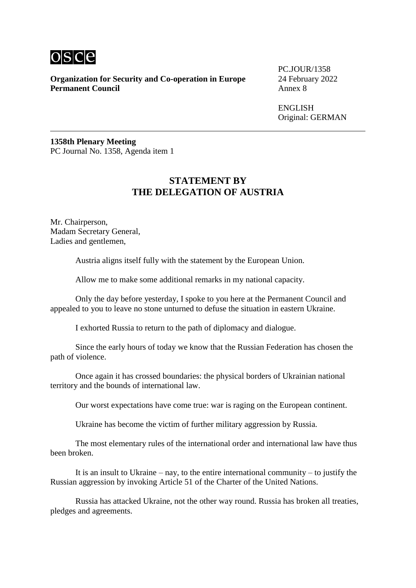

PC.JOUR/1358

**ENGLISH** Original: GERMAN

**1358th Plenary Meeting** PC Journal No. 1358, Agenda item 1

# **STATEMENT BY THE DELEGATION OF AUSTRIA**

Mr. Chairperson, Madam Secretary General, Ladies and gentlemen,

Austria aligns itself fully with the statement by the European Union.

Allow me to make some additional remarks in my national capacity.

Only the day before yesterday, I spoke to you here at the Permanent Council and appealed to you to leave no stone unturned to defuse the situation in eastern Ukraine.

I exhorted Russia to return to the path of diplomacy and dialogue.

Since the early hours of today we know that the Russian Federation has chosen the path of violence.

Once again it has crossed boundaries: the physical borders of Ukrainian national territory and the bounds of international law.

Our worst expectations have come true: war is raging on the European continent.

Ukraine has become the victim of further military aggression by Russia.

The most elementary rules of the international order and international law have thus been broken.

It is an insult to Ukraine – nay, to the entire international community – to justify the Russian aggression by invoking Article 51 of the Charter of the United Nations.

Russia has attacked Ukraine, not the other way round. Russia has broken all treaties, pledges and agreements.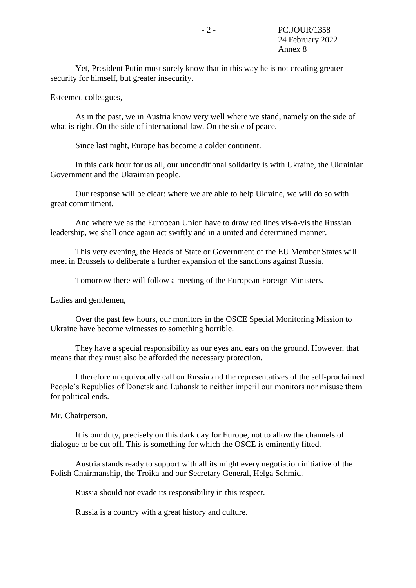Yet, President Putin must surely know that in this way he is not creating greater security for himself, but greater insecurity.

Esteemed colleagues,

As in the past, we in Austria know very well where we stand, namely on the side of what is right. On the side of international law. On the side of peace.

Since last night, Europe has become a colder continent.

In this dark hour for us all, our unconditional solidarity is with Ukraine, the Ukrainian Government and the Ukrainian people.

Our response will be clear: where we are able to help Ukraine, we will do so with great commitment.

And where we as the European Union have to draw red lines vis-à-vis the Russian leadership, we shall once again act swiftly and in a united and determined manner.

This very evening, the Heads of State or Government of the EU Member States will meet in Brussels to deliberate a further expansion of the sanctions against Russia.

Tomorrow there will follow a meeting of the European Foreign Ministers.

Ladies and gentlemen,

Over the past few hours, our monitors in the OSCE Special Monitoring Mission to Ukraine have become witnesses to something horrible.

They have a special responsibility as our eyes and ears on the ground. However, that means that they must also be afforded the necessary protection.

I therefore unequivocally call on Russia and the representatives of the self-proclaimed People's Republics of Donetsk and Luhansk to neither imperil our monitors nor misuse them for political ends.

Mr. Chairperson,

It is our duty, precisely on this dark day for Europe, not to allow the channels of dialogue to be cut off. This is something for which the OSCE is eminently fitted.

Austria stands ready to support with all its might every negotiation initiative of the Polish Chairmanship, the Troika and our Secretary General, Helga Schmid.

Russia should not evade its responsibility in this respect.

Russia is a country with a great history and culture.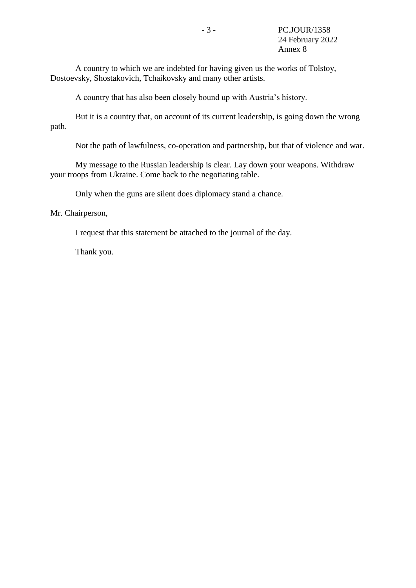A country to which we are indebted for having given us the works of Tolstoy, Dostoevsky, Shostakovich, Tchaikovsky and many other artists.

A country that has also been closely bound up with Austria's history.

But it is a country that, on account of its current leadership, is going down the wrong path.

Not the path of lawfulness, co-operation and partnership, but that of violence and war.

My message to the Russian leadership is clear. Lay down your weapons. Withdraw your troops from Ukraine. Come back to the negotiating table.

Only when the guns are silent does diplomacy stand a chance.

Mr. Chairperson,

I request that this statement be attached to the journal of the day.

Thank you.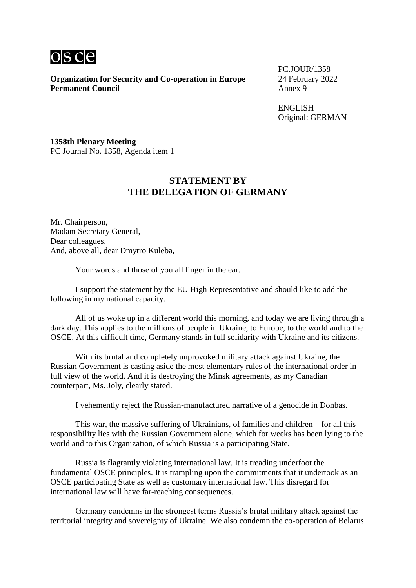

**Organization for Security and Co-operation in Europe** 24 February 2022<br>**Permanent Council** Annex 9 **Permanent Council** 

PC.JOUR/1358

ENGLISH Original: GERMAN

**1358th Plenary Meeting** PC Journal No. 1358, Agenda item 1

## **STATEMENT BY THE DELEGATION OF GERMANY**

Mr. Chairperson, Madam Secretary General, Dear colleagues, And, above all, dear Dmytro Kuleba,

Your words and those of you all linger in the ear.

I support the statement by the EU High Representative and should like to add the following in my national capacity.

All of us woke up in a different world this morning, and today we are living through a dark day. This applies to the millions of people in Ukraine, to Europe, to the world and to the OSCE. At this difficult time, Germany stands in full solidarity with Ukraine and its citizens.

With its brutal and completely unprovoked military attack against Ukraine, the Russian Government is casting aside the most elementary rules of the international order in full view of the world. And it is destroying the Minsk agreements, as my Canadian counterpart, Ms. Joly, clearly stated.

I vehemently reject the Russian-manufactured narrative of a genocide in Donbas.

This war, the massive suffering of Ukrainians, of families and children – for all this responsibility lies with the Russian Government alone, which for weeks has been lying to the world and to this Organization, of which Russia is a participating State.

Russia is flagrantly violating international law. It is treading underfoot the fundamental OSCE principles. It is trampling upon the commitments that it undertook as an OSCE participating State as well as customary international law. This disregard for international law will have far-reaching consequences.

Germany condemns in the strongest terms Russia's brutal military attack against the territorial integrity and sovereignty of Ukraine. We also condemn the co-operation of Belarus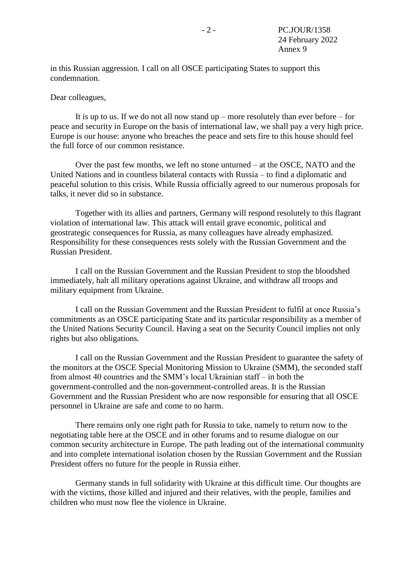in this Russian aggression. I call on all OSCE participating States to support this condemnation.

#### Dear colleagues,

It is up to us. If we do not all now stand up – more resolutely than ever before – for peace and security in Europe on the basis of international law, we shall pay a very high price. Europe is our house: anyone who breaches the peace and sets fire to this house should feel the full force of our common resistance.

Over the past few months, we left no stone unturned – at the OSCE, NATO and the United Nations and in countless bilateral contacts with Russia – to find a diplomatic and peaceful solution to this crisis. While Russia officially agreed to our numerous proposals for talks, it never did so in substance.

Together with its allies and partners, Germany will respond resolutely to this flagrant violation of international law. This attack will entail grave economic, political and geostrategic consequences for Russia, as many colleagues have already emphasized. Responsibility for these consequences rests solely with the Russian Government and the Russian President.

I call on the Russian Government and the Russian President to stop the bloodshed immediately, halt all military operations against Ukraine, and withdraw all troops and military equipment from Ukraine.

I call on the Russian Government and the Russian President to fulfil at once Russia's commitments as an OSCE participating State and its particular responsibility as a member of the United Nations Security Council. Having a seat on the Security Council implies not only rights but also obligations.

I call on the Russian Government and the Russian President to guarantee the safety of the monitors at the OSCE Special Monitoring Mission to Ukraine (SMM), the seconded staff from almost 40 countries and the SMM's local Ukrainian staff – in both the government-controlled and the non-government-controlled areas. It is the Russian Government and the Russian President who are now responsible for ensuring that all OSCE personnel in Ukraine are safe and come to no harm.

There remains only one right path for Russia to take, namely to return now to the negotiating table here at the OSCE and in other forums and to resume dialogue on our common security architecture in Europe. The path leading out of the international community and into complete international isolation chosen by the Russian Government and the Russian President offers no future for the people in Russia either.

Germany stands in full solidarity with Ukraine at this difficult time. Our thoughts are with the victims, those killed and injured and their relatives, with the people, families and children who must now flee the violence in Ukraine.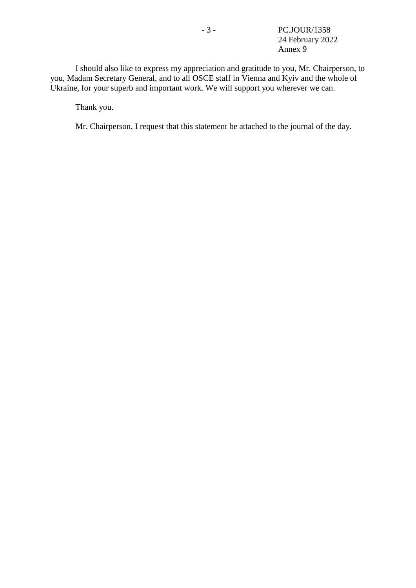I should also like to express my appreciation and gratitude to you, Mr. Chairperson, to you, Madam Secretary General, and to all OSCE staff in Vienna and Kyiv and the whole of Ukraine, for your superb and important work. We will support you wherever we can.

Thank you.

Mr. Chairperson, I request that this statement be attached to the journal of the day.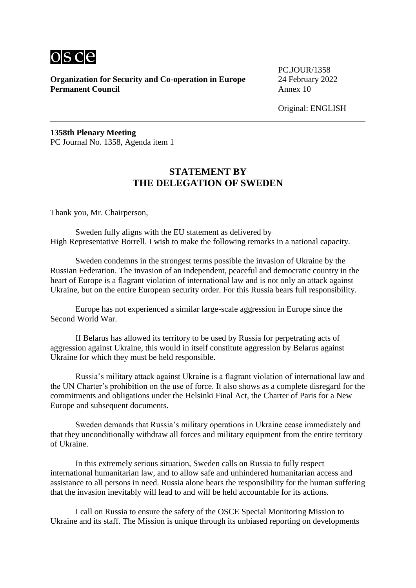

PC.JOUR/1358

Original: ENGLISH

**1358th Plenary Meeting** PC Journal No. 1358, Agenda item 1

# **STATEMENT BY THE DELEGATION OF SWEDEN**

Thank you, Mr. Chairperson,

Sweden fully aligns with the EU statement as delivered by High Representative Borrell. I wish to make the following remarks in a national capacity.

Sweden condemns in the strongest terms possible the invasion of Ukraine by the Russian Federation. The invasion of an independent, peaceful and democratic country in the heart of Europe is a flagrant violation of international law and is not only an attack against Ukraine, but on the entire European security order. For this Russia bears full responsibility.

Europe has not experienced a similar large-scale aggression in Europe since the Second World War.

If Belarus has allowed its territory to be used by Russia for perpetrating acts of aggression against Ukraine, this would in itself constitute aggression by Belarus against Ukraine for which they must be held responsible.

Russia's military attack against Ukraine is a flagrant violation of international law and the UN Charter's prohibition on the use of force. It also shows as a complete disregard for the commitments and obligations under the Helsinki Final Act, the Charter of Paris for a New Europe and subsequent documents.

Sweden demands that Russia's military operations in Ukraine cease immediately and that they unconditionally withdraw all forces and military equipment from the entire territory of Ukraine.

In this extremely serious situation, Sweden calls on Russia to fully respect international humanitarian law, and to allow safe and unhindered humanitarian access and assistance to all persons in need. Russia alone bears the responsibility for the human suffering that the invasion inevitably will lead to and will be held accountable for its actions.

I call on Russia to ensure the safety of the OSCE Special Monitoring Mission to Ukraine and its staff. The Mission is unique through its unbiased reporting on developments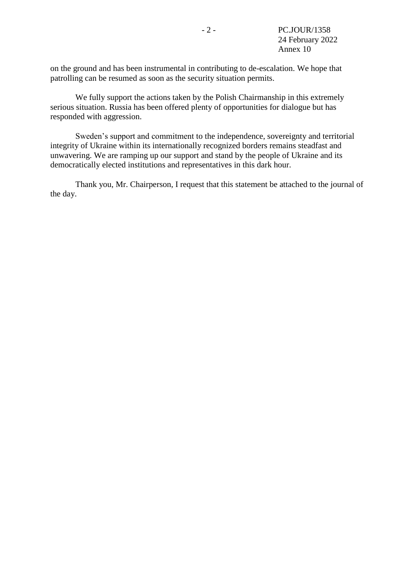on the ground and has been instrumental in contributing to de-escalation. We hope that patrolling can be resumed as soon as the security situation permits.

We fully support the actions taken by the Polish Chairmanship in this extremely serious situation. Russia has been offered plenty of opportunities for dialogue but has responded with aggression.

Sweden's support and commitment to the independence, sovereignty and territorial integrity of Ukraine within its internationally recognized borders remains steadfast and unwavering. We are ramping up our support and stand by the people of Ukraine and its democratically elected institutions and representatives in this dark hour.

Thank you, Mr. Chairperson, I request that this statement be attached to the journal of the day.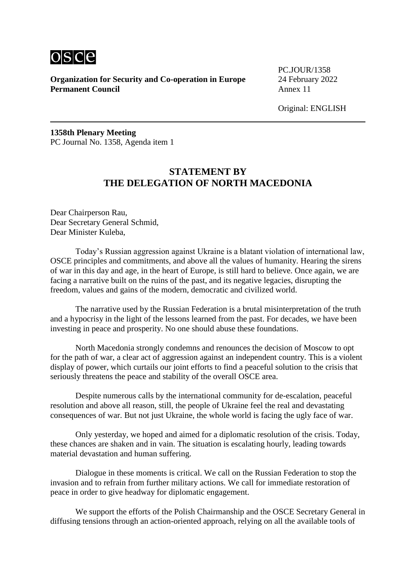

PC.JOUR/1358

Original: ENGLISH

**1358th Plenary Meeting** PC Journal No. 1358, Agenda item 1

# **STATEMENT BY THE DELEGATION OF NORTH MACEDONIA**

Dear Chairperson Rau, Dear Secretary General Schmid, Dear Minister Kuleba,

Today's Russian aggression against Ukraine is a blatant violation of international law, OSCE principles and commitments, and above all the values of humanity. Hearing the sirens of war in this day and age, in the heart of Europe, is still hard to believe. Once again, we are facing a narrative built on the ruins of the past, and its negative legacies, disrupting the freedom, values and gains of the modern, democratic and civilized world.

The narrative used by the Russian Federation is a brutal misinterpretation of the truth and a hypocrisy in the light of the lessons learned from the past. For decades, we have been investing in peace and prosperity. No one should abuse these foundations.

North Macedonia strongly condemns and renounces the decision of Moscow to opt for the path of war, a clear act of aggression against an independent country. This is a violent display of power, which curtails our joint efforts to find a peaceful solution to the crisis that seriously threatens the peace and stability of the overall OSCE area.

Despite numerous calls by the international community for de-escalation, peaceful resolution and above all reason, still, the people of Ukraine feel the real and devastating consequences of war. But not just Ukraine, the whole world is facing the ugly face of war.

Only yesterday, we hoped and aimed for a diplomatic resolution of the crisis. Today, these chances are shaken and in vain. The situation is escalating hourly, leading towards material devastation and human suffering.

Dialogue in these moments is critical. We call on the Russian Federation to stop the invasion and to refrain from further military actions. We call for immediate restoration of peace in order to give headway for diplomatic engagement.

We support the efforts of the Polish Chairmanship and the OSCE Secretary General in diffusing tensions through an action-oriented approach, relying on all the available tools of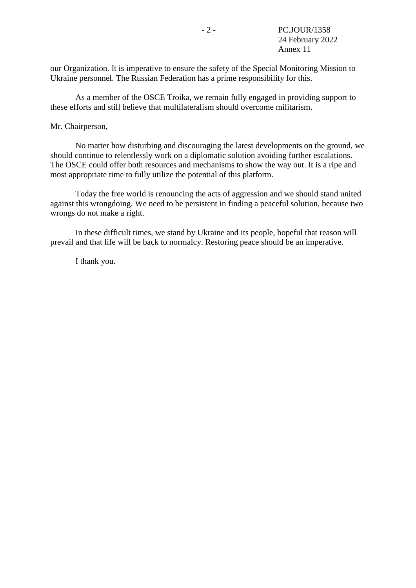our Organization. It is imperative to ensure the safety of the Special Monitoring Mission to Ukraine personnel. The Russian Federation has a prime responsibility for this.

As a member of the OSCE Troika, we remain fully engaged in providing support to these efforts and still believe that multilateralism should overcome militarism.

#### Mr. Chairperson,

No matter how disturbing and discouraging the latest developments on the ground, we should continue to relentlessly work on a diplomatic solution avoiding further escalations. The OSCE could offer both resources and mechanisms to show the way out. It is a ripe and most appropriate time to fully utilize the potential of this platform.

Today the free world is renouncing the acts of aggression and we should stand united against this wrongdoing. We need to be persistent in finding a peaceful solution, because two wrongs do not make a right.

In these difficult times, we stand by Ukraine and its people, hopeful that reason will prevail and that life will be back to normalcy. Restoring peace should be an imperative.

I thank you.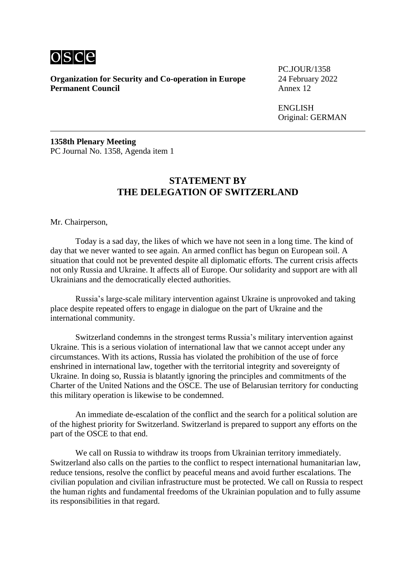

**Organization for Security and Co-operation in Europe** 24 February 2022<br>**Permanent Council** Annex 12 **Permanent Council** 

PC.JOUR/1358

ENGLISH Original: GERMAN

**1358th Plenary Meeting** PC Journal No. 1358, Agenda item 1

## **STATEMENT BY THE DELEGATION OF SWITZERLAND**

Mr. Chairperson,

Today is a sad day, the likes of which we have not seen in a long time. The kind of day that we never wanted to see again. An armed conflict has begun on European soil. A situation that could not be prevented despite all diplomatic efforts. The current crisis affects not only Russia and Ukraine. It affects all of Europe. Our solidarity and support are with all Ukrainians and the democratically elected authorities.

Russia's large-scale military intervention against Ukraine is unprovoked and taking place despite repeated offers to engage in dialogue on the part of Ukraine and the international community.

Switzerland condemns in the strongest terms Russia's military intervention against Ukraine. This is a serious violation of international law that we cannot accept under any circumstances. With its actions, Russia has violated the prohibition of the use of force enshrined in international law, together with the territorial integrity and sovereignty of Ukraine. In doing so, Russia is blatantly ignoring the principles and commitments of the Charter of the United Nations and the OSCE. The use of Belarusian territory for conducting this military operation is likewise to be condemned.

An immediate de-escalation of the conflict and the search for a political solution are of the highest priority for Switzerland. Switzerland is prepared to support any efforts on the part of the OSCE to that end.

We call on Russia to withdraw its troops from Ukrainian territory immediately. Switzerland also calls on the parties to the conflict to respect international humanitarian law, reduce tensions, resolve the conflict by peaceful means and avoid further escalations. The civilian population and civilian infrastructure must be protected. We call on Russia to respect the human rights and fundamental freedoms of the Ukrainian population and to fully assume its responsibilities in that regard.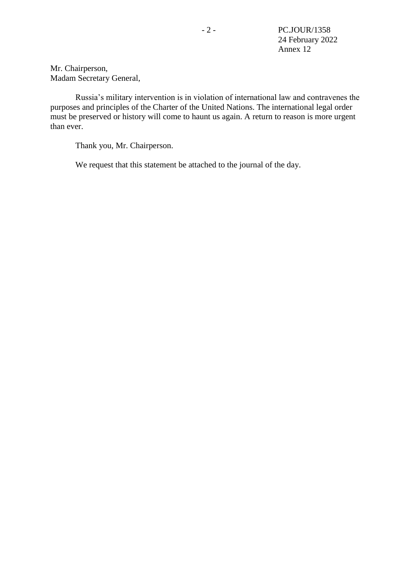Mr. Chairperson, Madam Secretary General,

Russia's military intervention is in violation of international law and contravenes the purposes and principles of the Charter of the United Nations. The international legal order must be preserved or history will come to haunt us again. A return to reason is more urgent than ever.

Thank you, Mr. Chairperson.

We request that this statement be attached to the journal of the day.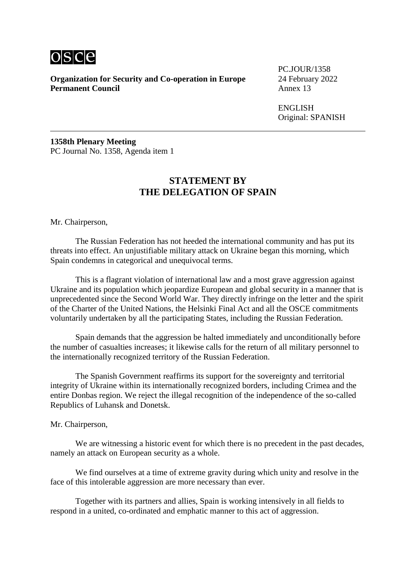

**Organization for Security and Co-operation in Europe** 24 February 2022<br>**Permanent Council** Annex 13 **Permanent Council** 

PC.JOUR/1358

ENGLISH Original: SPANISH

**1358th Plenary Meeting** PC Journal No. 1358, Agenda item 1

## **STATEMENT BY THE DELEGATION OF SPAIN**

Mr. Chairperson,

The Russian Federation has not heeded the international community and has put its threats into effect. An unjustifiable military attack on Ukraine began this morning, which Spain condemns in categorical and unequivocal terms.

This is a flagrant violation of international law and a most grave aggression against Ukraine and its population which jeopardize European and global security in a manner that is unprecedented since the Second World War. They directly infringe on the letter and the spirit of the Charter of the United Nations, the Helsinki Final Act and all the OSCE commitments voluntarily undertaken by all the participating States, including the Russian Federation.

Spain demands that the aggression be halted immediately and unconditionally before the number of casualties increases; it likewise calls for the return of all military personnel to the internationally recognized territory of the Russian Federation.

The Spanish Government reaffirms its support for the sovereignty and territorial integrity of Ukraine within its internationally recognized borders, including Crimea and the entire Donbas region. We reject the illegal recognition of the independence of the so-called Republics of Luhansk and Donetsk.

Mr. Chairperson,

We are witnessing a historic event for which there is no precedent in the past decades, namely an attack on European security as a whole.

We find ourselves at a time of extreme gravity during which unity and resolve in the face of this intolerable aggression are more necessary than ever.

Together with its partners and allies, Spain is working intensively in all fields to respond in a united, co-ordinated and emphatic manner to this act of aggression.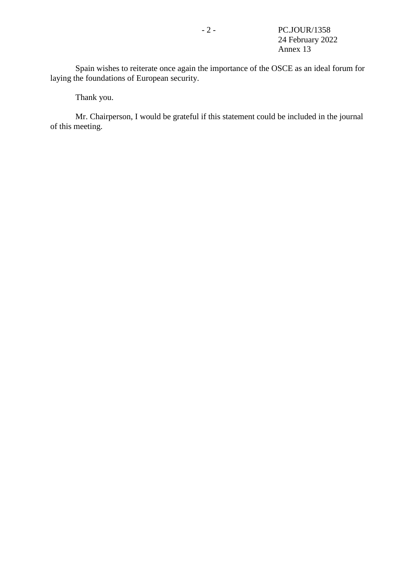Spain wishes to reiterate once again the importance of the OSCE as an ideal forum for laying the foundations of European security.

Thank you.

Mr. Chairperson, I would be grateful if this statement could be included in the journal of this meeting.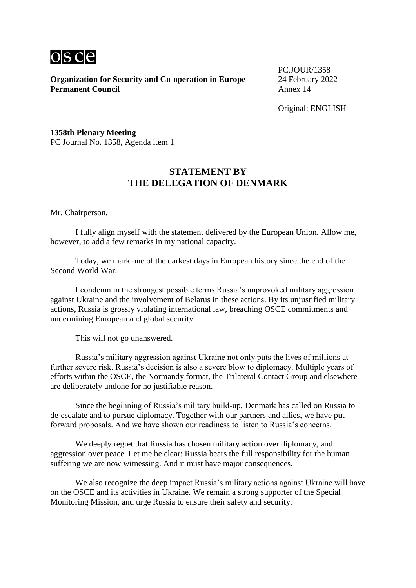

PC.JOUR/1358

Original: ENGLISH

**1358th Plenary Meeting** PC Journal No. 1358, Agenda item 1

# **STATEMENT BY THE DELEGATION OF DENMARK**

Mr. Chairperson,

I fully align myself with the statement delivered by the European Union. Allow me, however, to add a few remarks in my national capacity.

Today, we mark one of the darkest days in European history since the end of the Second World War.

I condemn in the strongest possible terms Russia's unprovoked military aggression against Ukraine and the involvement of Belarus in these actions. By its unjustified military actions, Russia is grossly violating international law, breaching OSCE commitments and undermining European and global security.

This will not go unanswered.

Russia's military aggression against Ukraine not only puts the lives of millions at further severe risk. Russia's decision is also a severe blow to diplomacy. Multiple years of efforts within the OSCE, the Normandy format, the Trilateral Contact Group and elsewhere are deliberately undone for no justifiable reason.

Since the beginning of Russia's military build-up, Denmark has called on Russia to de-escalate and to pursue diplomacy. Together with our partners and allies, we have put forward proposals. And we have shown our readiness to listen to Russia's concerns.

We deeply regret that Russia has chosen military action over diplomacy, and aggression over peace. Let me be clear: Russia bears the full responsibility for the human suffering we are now witnessing. And it must have major consequences.

We also recognize the deep impact Russia's military actions against Ukraine will have on the OSCE and its activities in Ukraine. We remain a strong supporter of the Special Monitoring Mission, and urge Russia to ensure their safety and security.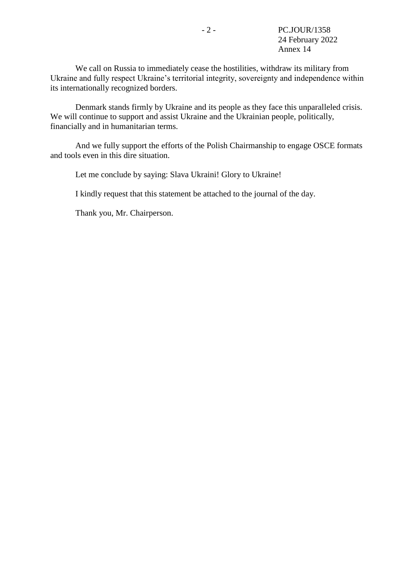We call on Russia to immediately cease the hostilities, withdraw its military from Ukraine and fully respect Ukraine's territorial integrity, sovereignty and independence within its internationally recognized borders.

Denmark stands firmly by Ukraine and its people as they face this unparalleled crisis. We will continue to support and assist Ukraine and the Ukrainian people, politically, financially and in humanitarian terms.

And we fully support the efforts of the Polish Chairmanship to engage OSCE formats and tools even in this dire situation.

Let me conclude by saying: Slava Ukraini! Glory to Ukraine!

I kindly request that this statement be attached to the journal of the day.

Thank you, Mr. Chairperson.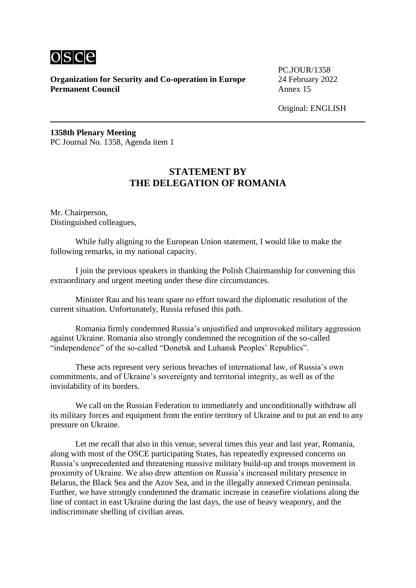

PC.JOUR/1358

Original: ENGLISH

**1358th Plenary Meeting** PC Journal No. 1358, Agenda item 1

# **STATEMENT BY THE DELEGATION OF ROMANIA**

Mr. Chairperson, Distinguished colleagues,

While fully aligning to the European Union statement, I would like to make the following remarks, in my national capacity.

I join the previous speakers in thanking the Polish Chairmanship for convening this extraordinary and urgent meeting under these dire circumstances.

Minister Rau and his team spare no effort toward the diplomatic resolution of the current situation. Unfortunately, Russia refused this path.

Romania firmly condemned Russia's unjustified and unprovoked military aggression against Ukraine. Romania also strongly condemned the recognition of the so-called "independence" of the so-called "Donetsk and Luhansk Peoples' Republics".

These acts represent very serious breaches of international law, of Russia's own commitments, and of Ukraine's sovereignty and territorial integrity, as well as of the inviolability of its borders.

We call on the Russian Federation to immediately and unconditionally withdraw all its military forces and equipment from the entire territory of Ukraine and to put an end to any pressure on Ukraine.

Let me recall that also in this venue, several times this year and last year, Romania, along with most of the OSCE participating States, has repeatedly expressed concerns on Russia's unprecedented and threatening massive military build-up and troops movement in proximity of Ukraine. We also drew attention on Russia's increased military presence in Belarus, the Black Sea and the Azov Sea, and in the illegally annexed Crimean peninsula. Further, we have strongly condemned the dramatic increase in ceasefire violations along the line of contact in east Ukraine during the last days, the use of heavy weaponry, and the indiscriminate shelling of civilian areas.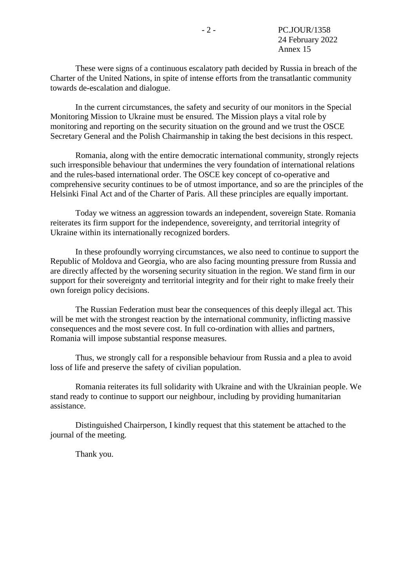These were signs of a continuous escalatory path decided by Russia in breach of the Charter of the United Nations, in spite of intense efforts from the transatlantic community towards de-escalation and dialogue.

In the current circumstances, the safety and security of our monitors in the Special Monitoring Mission to Ukraine must be ensured. The Mission plays a vital role by monitoring and reporting on the security situation on the ground and we trust the OSCE Secretary General and the Polish Chairmanship in taking the best decisions in this respect.

Romania, along with the entire democratic international community, strongly rejects such irresponsible behaviour that undermines the very foundation of international relations and the rules-based international order. The OSCE key concept of co-operative and comprehensive security continues to be of utmost importance, and so are the principles of the Helsinki Final Act and of the Charter of Paris. All these principles are equally important.

Today we witness an aggression towards an independent, sovereign State. Romania reiterates its firm support for the independence, sovereignty, and territorial integrity of Ukraine within its internationally recognized borders.

In these profoundly worrying circumstances, we also need to continue to support the Republic of Moldova and Georgia, who are also facing mounting pressure from Russia and are directly affected by the worsening security situation in the region. We stand firm in our support for their sovereignty and territorial integrity and for their right to make freely their own foreign policy decisions.

The Russian Federation must bear the consequences of this deeply illegal act. This will be met with the strongest reaction by the international community, inflicting massive consequences and the most severe cost. In full co-ordination with allies and partners, Romania will impose substantial response measures.

Thus, we strongly call for a responsible behaviour from Russia and a plea to avoid loss of life and preserve the safety of civilian population.

Romania reiterates its full solidarity with Ukraine and with the Ukrainian people. We stand ready to continue to support our neighbour, including by providing humanitarian assistance.

Distinguished Chairperson, I kindly request that this statement be attached to the journal of the meeting.

Thank you.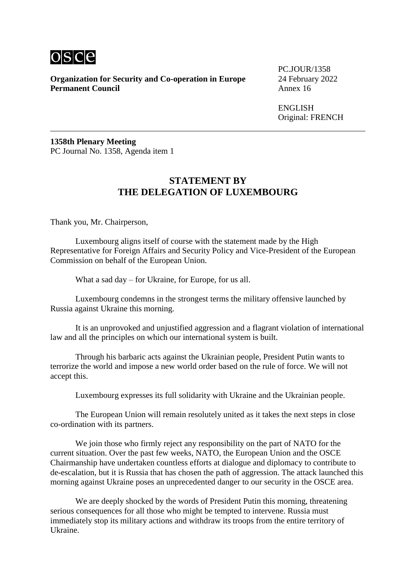

**Organization for Security and Co-operation in Europe** 24 February 2022<br>**Permanent Council** Annex 16 **Permanent Council** 

PC.JOUR/1358

ENGLISH Original: FRENCH

**1358th Plenary Meeting** PC Journal No. 1358, Agenda item 1

## **STATEMENT BY THE DELEGATION OF LUXEMBOURG**

Thank you, Mr. Chairperson,

Luxembourg aligns itself of course with the statement made by the High Representative for Foreign Affairs and Security Policy and Vice-President of the European Commission on behalf of the European Union.

What a sad day – for Ukraine, for Europe, for us all.

Luxembourg condemns in the strongest terms the military offensive launched by Russia against Ukraine this morning.

It is an unprovoked and unjustified aggression and a flagrant violation of international law and all the principles on which our international system is built.

Through his barbaric acts against the Ukrainian people, President Putin wants to terrorize the world and impose a new world order based on the rule of force. We will not accept this.

Luxembourg expresses its full solidarity with Ukraine and the Ukrainian people.

The European Union will remain resolutely united as it takes the next steps in close co-ordination with its partners.

We join those who firmly reject any responsibility on the part of NATO for the current situation. Over the past few weeks, NATO, the European Union and the OSCE Chairmanship have undertaken countless efforts at dialogue and diplomacy to contribute to de-escalation, but it is Russia that has chosen the path of aggression. The attack launched this morning against Ukraine poses an unprecedented danger to our security in the OSCE area.

We are deeply shocked by the words of President Putin this morning, threatening serious consequences for all those who might be tempted to intervene. Russia must immediately stop its military actions and withdraw its troops from the entire territory of Ukraine.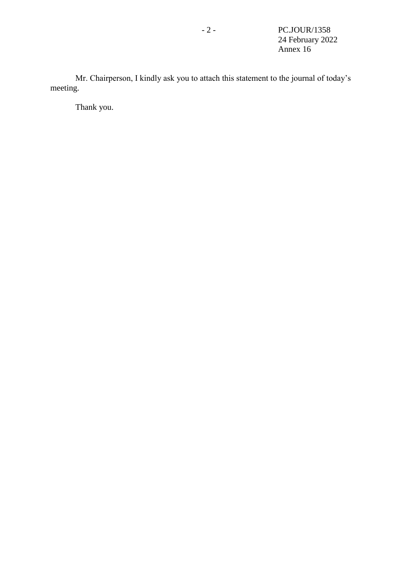Mr. Chairperson, I kindly ask you to attach this statement to the journal of today's meeting.

Thank you.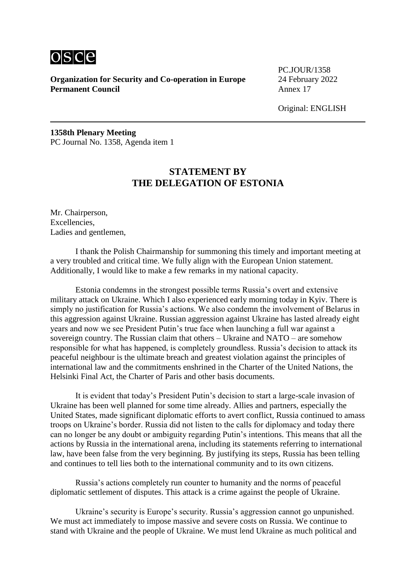

PC.JOUR/1358

Original: ENGLISH

**1358th Plenary Meeting** PC Journal No. 1358, Agenda item 1

# **STATEMENT BY THE DELEGATION OF ESTONIA**

Mr. Chairperson, Excellencies, Ladies and gentlemen,

I thank the Polish Chairmanship for summoning this timely and important meeting at a very troubled and critical time. We fully align with the European Union statement. Additionally, I would like to make a few remarks in my national capacity.

Estonia condemns in the strongest possible terms Russia's overt and extensive military attack on Ukraine. Which I also experienced early morning today in Kyiv. There is simply no justification for Russia's actions. We also condemn the involvement of Belarus in this aggression against Ukraine. Russian aggression against Ukraine has lasted already eight years and now we see President Putin's true face when launching a full war against a sovereign country. The Russian claim that others – Ukraine and NATO – are somehow responsible for what has happened, is completely groundless. Russia's decision to attack its peaceful neighbour is the ultimate breach and greatest violation against the principles of international law and the commitments enshrined in the Charter of the United Nations, the Helsinki Final Act, the Charter of Paris and other basis documents.

It is evident that today's President Putin's decision to start a large-scale invasion of Ukraine has been well planned for some time already. Allies and partners, especially the United States, made significant diplomatic efforts to avert conflict, Russia continued to amass troops on Ukraine's border. Russia did not listen to the calls for diplomacy and today there can no longer be any doubt or ambiguity regarding Putin's intentions. This means that all the actions by Russia in the international arena, including its statements referring to international law, have been false from the very beginning. By justifying its steps, Russia has been telling and continues to tell lies both to the international community and to its own citizens.

Russia's actions completely run counter to humanity and the norms of peaceful diplomatic settlement of disputes. This attack is a crime against the people of Ukraine.

Ukraine's security is Europe's security. Russia's aggression cannot go unpunished. We must act immediately to impose massive and severe costs on Russia. We continue to stand with Ukraine and the people of Ukraine. We must lend Ukraine as much political and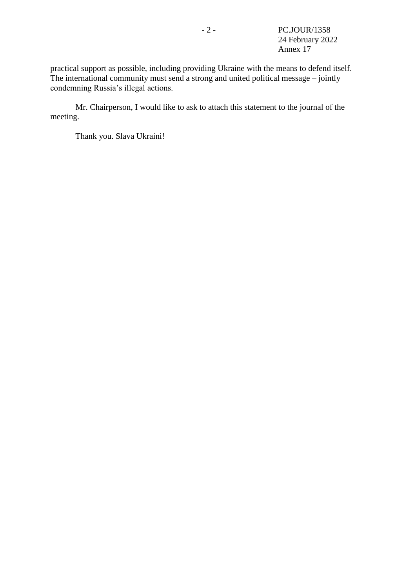practical support as possible, including providing Ukraine with the means to defend itself. The international community must send a strong and united political message – jointly condemning Russia's illegal actions.

Mr. Chairperson, I would like to ask to attach this statement to the journal of the meeting.

Thank you. Slava Ukraini!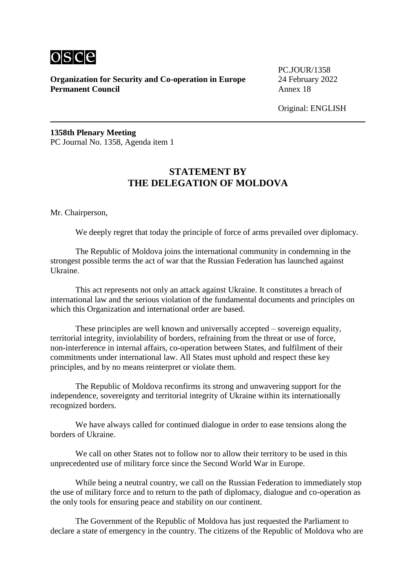

PC.JOUR/1358

Original: ENGLISH

**1358th Plenary Meeting** PC Journal No. 1358, Agenda item 1

# **STATEMENT BY THE DELEGATION OF MOLDOVA**

Mr. Chairperson,

We deeply regret that today the principle of force of arms prevailed over diplomacy.

The Republic of Moldova joins the international community in condemning in the strongest possible terms the act of war that the Russian Federation has launched against Ukraine.

This act represents not only an attack against Ukraine. It constitutes a breach of international law and the serious violation of the fundamental documents and principles on which this Organization and international order are based.

These principles are well known and universally accepted – sovereign equality, territorial integrity, inviolability of borders, refraining from the threat or use of force, non-interference in internal affairs, co-operation between States, and fulfilment of their commitments under international law. All States must uphold and respect these key principles, and by no means reinterpret or violate them.

The Republic of Moldova reconfirms its strong and unwavering support for the independence, sovereignty and territorial integrity of Ukraine within its internationally recognized borders.

We have always called for continued dialogue in order to ease tensions along the borders of Ukraine.

We call on other States not to follow nor to allow their territory to be used in this unprecedented use of military force since the Second World War in Europe.

While being a neutral country, we call on the Russian Federation to immediately stop the use of military force and to return to the path of diplomacy, dialogue and co-operation as the only tools for ensuring peace and stability on our continent.

The Government of the Republic of Moldova has just requested the Parliament to declare a state of emergency in the country. The citizens of the Republic of Moldova who are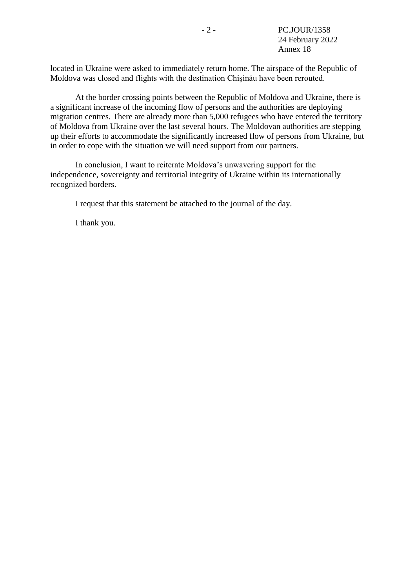located in Ukraine were asked to immediately return home. The airspace of the Republic of Moldova was closed and flights with the destination Chişinău have been rerouted.

At the border crossing points between the Republic of Moldova and Ukraine, there is a significant increase of the incoming flow of persons and the authorities are deploying migration centres. There are already more than 5,000 refugees who have entered the territory of Moldova from Ukraine over the last several hours. The Moldovan authorities are stepping up their efforts to accommodate the significantly increased flow of persons from Ukraine, but in order to cope with the situation we will need support from our partners.

In conclusion, I want to reiterate Moldova's unwavering support for the independence, sovereignty and territorial integrity of Ukraine within its internationally recognized borders.

I request that this statement be attached to the journal of the day.

I thank you.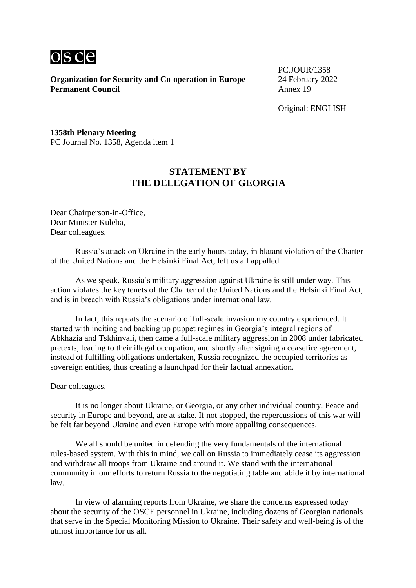

PC.JOUR/1358

Original: ENGLISH

**1358th Plenary Meeting** PC Journal No. 1358, Agenda item 1

# **STATEMENT BY THE DELEGATION OF GEORGIA**

Dear Chairperson-in-Office, Dear Minister Kuleba, Dear colleagues,

Russia's attack on Ukraine in the early hours today, in blatant violation of the Charter of the United Nations and the Helsinki Final Act, left us all appalled.

As we speak, Russia's military aggression against Ukraine is still under way. This action violates the key tenets of the Charter of the United Nations and the Helsinki Final Act, and is in breach with Russia's obligations under international law.

In fact, this repeats the scenario of full-scale invasion my country experienced. It started with inciting and backing up puppet regimes in Georgia's integral regions of Abkhazia and Tskhinvali, then came a full-scale military aggression in 2008 under fabricated pretexts, leading to their illegal occupation, and shortly after signing a ceasefire agreement, instead of fulfilling obligations undertaken, Russia recognized the occupied territories as sovereign entities, thus creating a launchpad for their factual annexation.

Dear colleagues,

It is no longer about Ukraine, or Georgia, or any other individual country. Peace and security in Europe and beyond, are at stake. If not stopped, the repercussions of this war will be felt far beyond Ukraine and even Europe with more appalling consequences.

We all should be united in defending the very fundamentals of the international rules-based system. With this in mind, we call on Russia to immediately cease its aggression and withdraw all troops from Ukraine and around it. We stand with the international community in our efforts to return Russia to the negotiating table and abide it by international law.

In view of alarming reports from Ukraine, we share the concerns expressed today about the security of the OSCE personnel in Ukraine, including dozens of Georgian nationals that serve in the Special Monitoring Mission to Ukraine. Their safety and well-being is of the utmost importance for us all.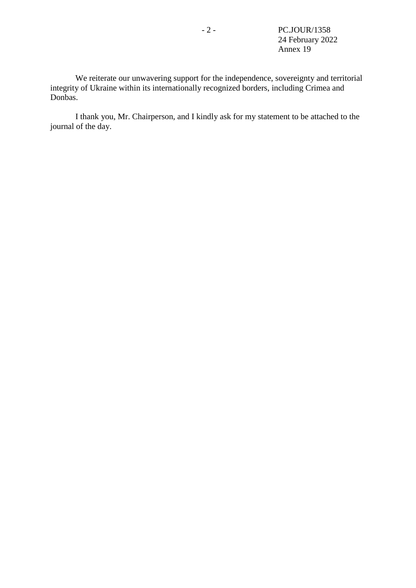We reiterate our unwavering support for the independence, sovereignty and territorial integrity of Ukraine within its internationally recognized borders, including Crimea and Donbas.

I thank you, Mr. Chairperson, and I kindly ask for my statement to be attached to the journal of the day.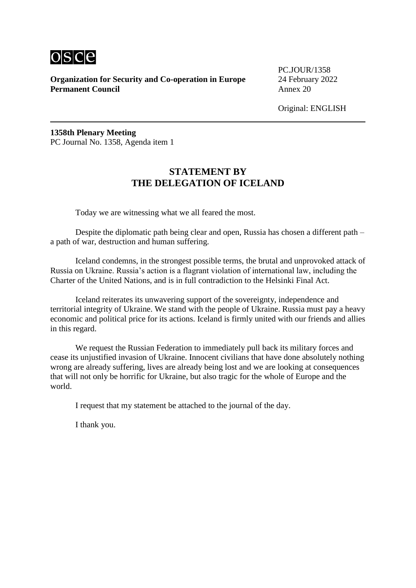

PC.JOUR/1358

Original: ENGLISH

**1358th Plenary Meeting** PC Journal No. 1358, Agenda item 1

#### **STATEMENT BY THE DELEGATION OF ICELAND**

Today we are witnessing what we all feared the most.

Despite the diplomatic path being clear and open, Russia has chosen a different path – a path of war, destruction and human suffering.

Iceland condemns, in the strongest possible terms, the brutal and unprovoked attack of Russia on Ukraine. Russia's action is a flagrant violation of international law, including the Charter of the United Nations, and is in full contradiction to the Helsinki Final Act.

Iceland reiterates its unwavering support of the sovereignty, independence and territorial integrity of Ukraine. We stand with the people of Ukraine. Russia must pay a heavy economic and political price for its actions. Iceland is firmly united with our friends and allies in this regard.

We request the Russian Federation to immediately pull back its military forces and cease its unjustified invasion of Ukraine. Innocent civilians that have done absolutely nothing wrong are already suffering, lives are already being lost and we are looking at consequences that will not only be horrific for Ukraine, but also tragic for the whole of Europe and the world.

I request that my statement be attached to the journal of the day.

I thank you.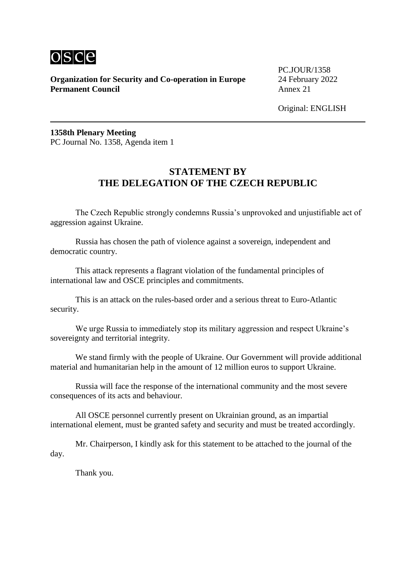

PC.JOUR/1358

Original: ENGLISH

**1358th Plenary Meeting** PC Journal No. 1358, Agenda item 1

#### **STATEMENT BY THE DELEGATION OF THE CZECH REPUBLIC**

The Czech Republic strongly condemns Russia's unprovoked and unjustifiable act of aggression against Ukraine.

Russia has chosen the path of violence against a sovereign, independent and democratic country.

This attack represents a flagrant violation of the fundamental principles of international law and OSCE principles and commitments.

This is an attack on the rules-based order and a serious threat to Euro-Atlantic security.

We urge Russia to immediately stop its military aggression and respect Ukraine's sovereignty and territorial integrity.

We stand firmly with the people of Ukraine. Our Government will provide additional material and humanitarian help in the amount of 12 million euros to support Ukraine.

Russia will face the response of the international community and the most severe consequences of its acts and behaviour.

All OSCE personnel currently present on Ukrainian ground, as an impartial international element, must be granted safety and security and must be treated accordingly.

Mr. Chairperson, I kindly ask for this statement to be attached to the journal of the day.

Thank you.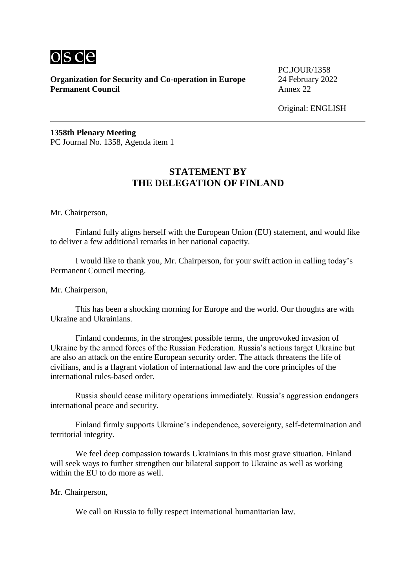

PC.JOUR/1358

Original: ENGLISH

**1358th Plenary Meeting** PC Journal No. 1358, Agenda item 1

#### **STATEMENT BY THE DELEGATION OF FINLAND**

Mr. Chairperson,

Finland fully aligns herself with the European Union (EU) statement, and would like to deliver a few additional remarks in her national capacity.

I would like to thank you, Mr. Chairperson, for your swift action in calling today's Permanent Council meeting.

Mr. Chairperson,

This has been a shocking morning for Europe and the world. Our thoughts are with Ukraine and Ukrainians.

Finland condemns, in the strongest possible terms, the unprovoked invasion of Ukraine by the armed forces of the Russian Federation. Russia's actions target Ukraine but are also an attack on the entire European security order. The attack threatens the life of civilians, and is a flagrant violation of international law and the core principles of the international rules-based order.

Russia should cease military operations immediately. Russia's aggression endangers international peace and security.

Finland firmly supports Ukraine's independence, sovereignty, self-determination and territorial integrity.

We feel deep compassion towards Ukrainians in this most grave situation. Finland will seek ways to further strengthen our bilateral support to Ukraine as well as working within the EU to do more as well.

Mr. Chairperson,

We call on Russia to fully respect international humanitarian law.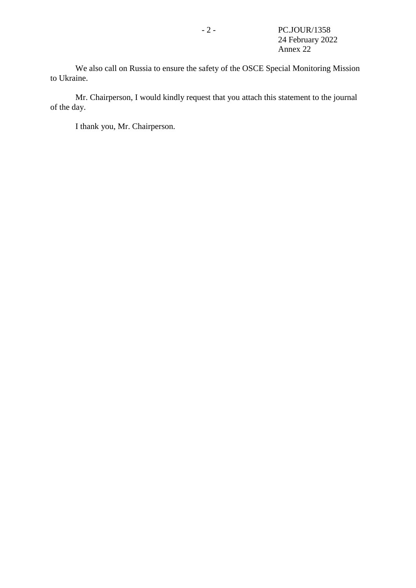We also call on Russia to ensure the safety of the OSCE Special Monitoring Mission to Ukraine.

Mr. Chairperson, I would kindly request that you attach this statement to the journal of the day.

I thank you, Mr. Chairperson.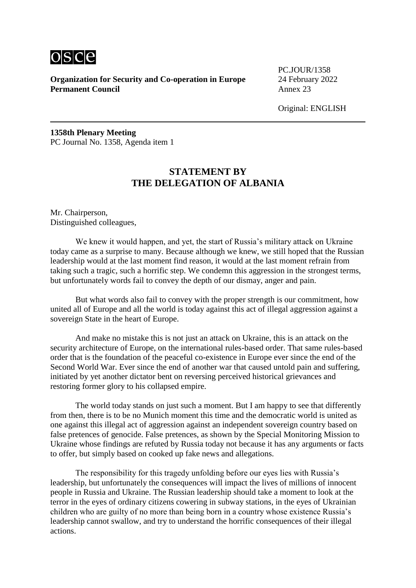

PC.JOUR/1358

Original: ENGLISH

**1358th Plenary Meeting** PC Journal No. 1358, Agenda item 1

# **STATEMENT BY THE DELEGATION OF ALBANIA**

Mr. Chairperson, Distinguished colleagues,

We knew it would happen, and yet, the start of Russia's military attack on Ukraine today came as a surprise to many. Because although we knew, we still hoped that the Russian leadership would at the last moment find reason, it would at the last moment refrain from taking such a tragic, such a horrific step. We condemn this aggression in the strongest terms, but unfortunately words fail to convey the depth of our dismay, anger and pain.

But what words also fail to convey with the proper strength is our commitment, how united all of Europe and all the world is today against this act of illegal aggression against a sovereign State in the heart of Europe.

And make no mistake this is not just an attack on Ukraine, this is an attack on the security architecture of Europe, on the international rules-based order. That same rules-based order that is the foundation of the peaceful co-existence in Europe ever since the end of the Second World War. Ever since the end of another war that caused untold pain and suffering, initiated by yet another dictator bent on reversing perceived historical grievances and restoring former glory to his collapsed empire.

The world today stands on just such a moment. But I am happy to see that differently from then, there is to be no Munich moment this time and the democratic world is united as one against this illegal act of aggression against an independent sovereign country based on false pretences of genocide. False pretences, as shown by the Special Monitoring Mission to Ukraine whose findings are refuted by Russia today not because it has any arguments or facts to offer, but simply based on cooked up fake news and allegations.

The responsibility for this tragedy unfolding before our eyes lies with Russia's leadership, but unfortunately the consequences will impact the lives of millions of innocent people in Russia and Ukraine. The Russian leadership should take a moment to look at the terror in the eyes of ordinary citizens cowering in subway stations, in the eyes of Ukrainian children who are guilty of no more than being born in a country whose existence Russia's leadership cannot swallow, and try to understand the horrific consequences of their illegal actions.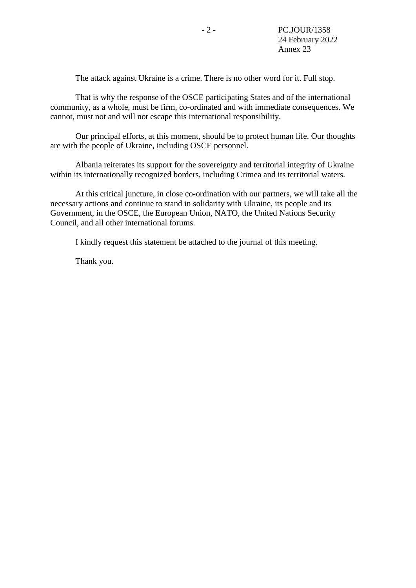The attack against Ukraine is a crime. There is no other word for it. Full stop.

That is why the response of the OSCE participating States and of the international community, as a whole, must be firm, co-ordinated and with immediate consequences. We cannot, must not and will not escape this international responsibility.

Our principal efforts, at this moment, should be to protect human life. Our thoughts are with the people of Ukraine, including OSCE personnel.

Albania reiterates its support for the sovereignty and territorial integrity of Ukraine within its internationally recognized borders, including Crimea and its territorial waters.

At this critical juncture, in close co-ordination with our partners, we will take all the necessary actions and continue to stand in solidarity with Ukraine, its people and its Government, in the OSCE, the European Union, NATO, the United Nations Security Council, and all other international forums.

I kindly request this statement be attached to the journal of this meeting.

Thank you.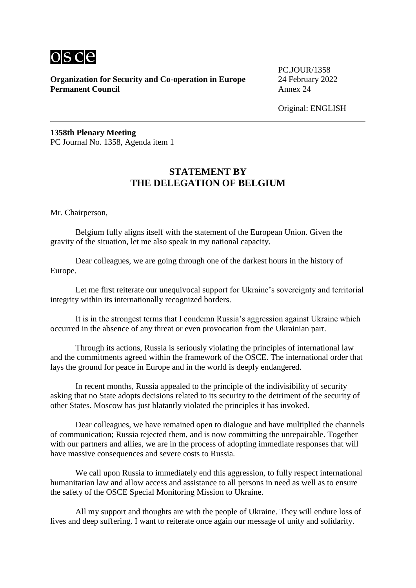

PC.JOUR/1358

Original: ENGLISH

**1358th Plenary Meeting** PC Journal No. 1358, Agenda item 1

# **STATEMENT BY THE DELEGATION OF BELGIUM**

Mr. Chairperson,

Belgium fully aligns itself with the statement of the European Union. Given the gravity of the situation, let me also speak in my national capacity.

Dear colleagues, we are going through one of the darkest hours in the history of Europe.

Let me first reiterate our unequivocal support for Ukraine's sovereignty and territorial integrity within its internationally recognized borders.

It is in the strongest terms that I condemn Russia's aggression against Ukraine which occurred in the absence of any threat or even provocation from the Ukrainian part.

Through its actions, Russia is seriously violating the principles of international law and the commitments agreed within the framework of the OSCE. The international order that lays the ground for peace in Europe and in the world is deeply endangered.

In recent months, Russia appealed to the principle of the indivisibility of security asking that no State adopts decisions related to its security to the detriment of the security of other States. Moscow has just blatantly violated the principles it has invoked.

Dear colleagues, we have remained open to dialogue and have multiplied the channels of communication; Russia rejected them, and is now committing the unrepairable. Together with our partners and allies, we are in the process of adopting immediate responses that will have massive consequences and severe costs to Russia.

We call upon Russia to immediately end this aggression, to fully respect international humanitarian law and allow access and assistance to all persons in need as well as to ensure the safety of the OSCE Special Monitoring Mission to Ukraine.

All my support and thoughts are with the people of Ukraine. They will endure loss of lives and deep suffering. I want to reiterate once again our message of unity and solidarity.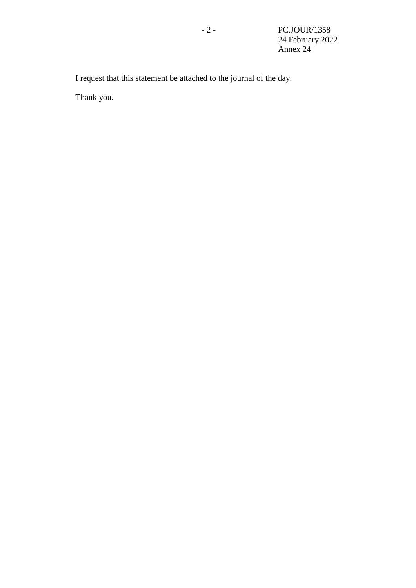I request that this statement be attached to the journal of the day.

Thank you.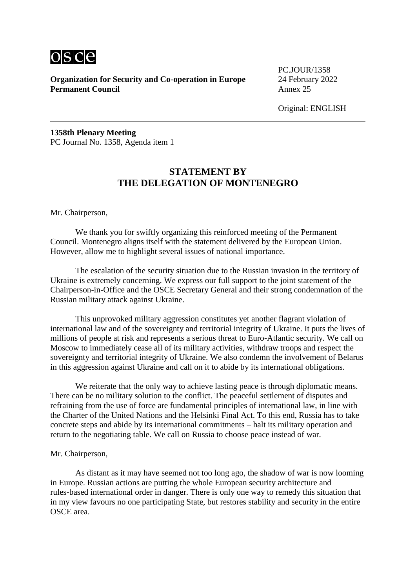

PC.JOUR/1358

Original: ENGLISH

**1358th Plenary Meeting** PC Journal No. 1358, Agenda item 1

# **STATEMENT BY THE DELEGATION OF MONTENEGRO**

Mr. Chairperson,

We thank you for swiftly organizing this reinforced meeting of the Permanent Council. Montenegro aligns itself with the statement delivered by the European Union. However, allow me to highlight several issues of national importance.

The escalation of the security situation due to the Russian invasion in the territory of Ukraine is extremely concerning. We express our full support to the joint statement of the Chairperson-in-Office and the OSCE Secretary General and their strong condemnation of the Russian military attack against Ukraine.

This unprovoked military aggression constitutes yet another flagrant violation of international law and of the sovereignty and territorial integrity of Ukraine. It puts the lives of millions of people at risk and represents a serious threat to Euro-Atlantic security. We call on Moscow to immediately cease all of its military activities, withdraw troops and respect the sovereignty and territorial integrity of Ukraine. We also condemn the involvement of Belarus in this aggression against Ukraine and call on it to abide by its international obligations.

We reiterate that the only way to achieve lasting peace is through diplomatic means. There can be no military solution to the conflict. The peaceful settlement of disputes and refraining from the use of force are fundamental principles of international law, in line with the Charter of the United Nations and the Helsinki Final Act. To this end, Russia has to take concrete steps and abide by its international commitments – halt its military operation and return to the negotiating table. We call on Russia to choose peace instead of war.

#### Mr. Chairperson,

As distant as it may have seemed not too long ago, the shadow of war is now looming in Europe. Russian actions are putting the whole European security architecture and rules-based international order in danger. There is only one way to remedy this situation that in my view favours no one participating State, but restores stability and security in the entire OSCE area.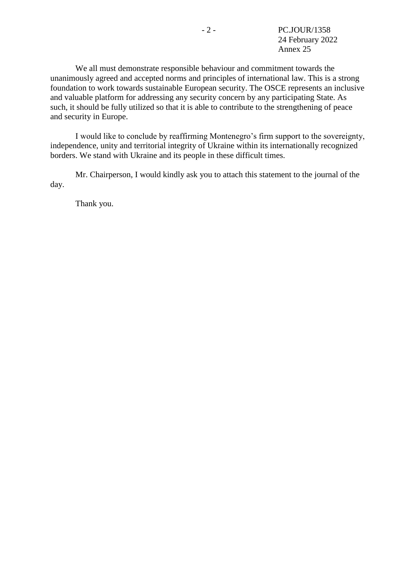We all must demonstrate responsible behaviour and commitment towards the unanimously agreed and accepted norms and principles of international law. This is a strong foundation to work towards sustainable European security. The OSCE represents an inclusive and valuable platform for addressing any security concern by any participating State. As such, it should be fully utilized so that it is able to contribute to the strengthening of peace and security in Europe.

I would like to conclude by reaffirming Montenegro's firm support to the sovereignty, independence, unity and territorial integrity of Ukraine within its internationally recognized borders. We stand with Ukraine and its people in these difficult times.

Mr. Chairperson, I would kindly ask you to attach this statement to the journal of the day.

Thank you.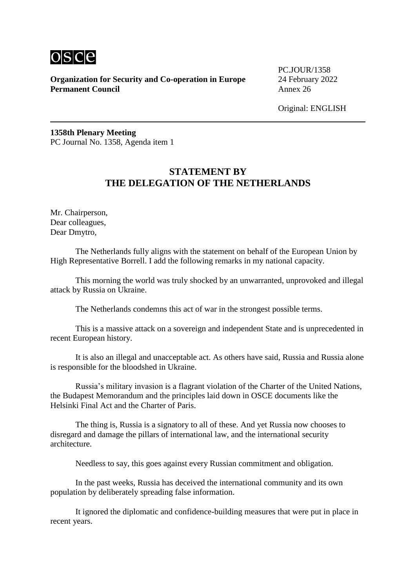

PC.JOUR/1358

Original: ENGLISH

**1358th Plenary Meeting** PC Journal No. 1358, Agenda item 1

# **STATEMENT BY THE DELEGATION OF THE NETHERLANDS**

Mr. Chairperson, Dear colleagues, Dear Dmytro,

The Netherlands fully aligns with the statement on behalf of the European Union by High Representative Borrell. I add the following remarks in my national capacity.

This morning the world was truly shocked by an unwarranted, unprovoked and illegal attack by Russia on Ukraine.

The Netherlands condemns this act of war in the strongest possible terms.

This is a massive attack on a sovereign and independent State and is unprecedented in recent European history.

It is also an illegal and unacceptable act. As others have said, Russia and Russia alone is responsible for the bloodshed in Ukraine.

Russia's military invasion is a flagrant violation of the Charter of the United Nations, the Budapest Memorandum and the principles laid down in OSCE documents like the Helsinki Final Act and the Charter of Paris.

The thing is, Russia is a signatory to all of these. And yet Russia now chooses to disregard and damage the pillars of international law, and the international security architecture.

Needless to say, this goes against every Russian commitment and obligation.

In the past weeks, Russia has deceived the international community and its own population by deliberately spreading false information.

It ignored the diplomatic and confidence-building measures that were put in place in recent years.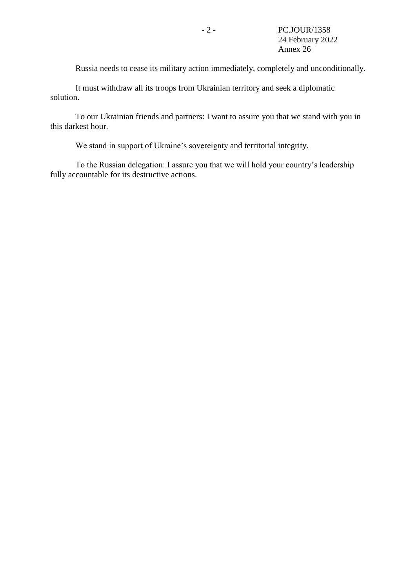Russia needs to cease its military action immediately, completely and unconditionally.

It must withdraw all its troops from Ukrainian territory and seek a diplomatic solution.

To our Ukrainian friends and partners: I want to assure you that we stand with you in this darkest hour.

We stand in support of Ukraine's sovereignty and territorial integrity.

To the Russian delegation: I assure you that we will hold your country's leadership fully accountable for its destructive actions.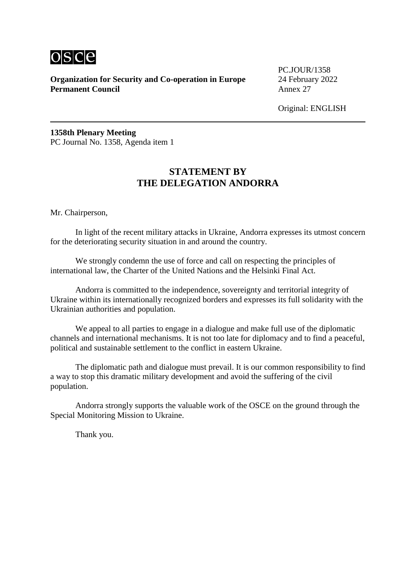

PC.JOUR/1358

Original: ENGLISH

**1358th Plenary Meeting** PC Journal No. 1358, Agenda item 1

# **STATEMENT BY THE DELEGATION ANDORRA**

Mr. Chairperson,

In light of the recent military attacks in Ukraine, Andorra expresses its utmost concern for the deteriorating security situation in and around the country.

We strongly condemn the use of force and call on respecting the principles of international law, the Charter of the United Nations and the Helsinki Final Act.

Andorra is committed to the independence, sovereignty and territorial integrity of Ukraine within its internationally recognized borders and expresses its full solidarity with the Ukrainian authorities and population.

We appeal to all parties to engage in a dialogue and make full use of the diplomatic channels and international mechanisms. It is not too late for diplomacy and to find a peaceful, political and sustainable settlement to the conflict in eastern Ukraine.

The diplomatic path and dialogue must prevail. It is our common responsibility to find a way to stop this dramatic military development and avoid the suffering of the civil population.

Andorra strongly supports the valuable work of the OSCE on the ground through the Special Monitoring Mission to Ukraine.

Thank you.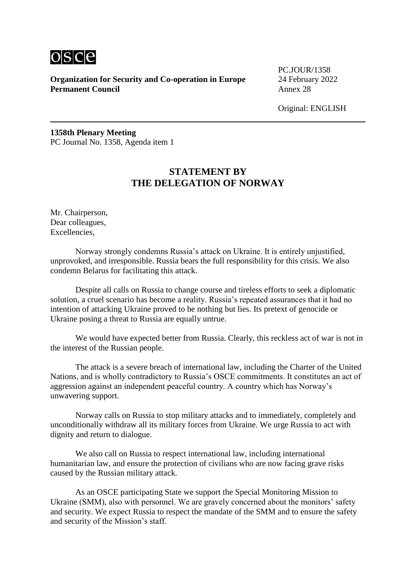

PC.JOUR/1358

Original: ENGLISH

**1358th Plenary Meeting** PC Journal No. 1358, Agenda item 1

# **STATEMENT BY THE DELEGATION OF NORWAY**

Mr. Chairperson, Dear colleagues, Excellencies,

Norway strongly condemns Russia's attack on Ukraine. It is entirely unjustified, unprovoked, and irresponsible. Russia bears the full responsibility for this crisis. We also condemn Belarus for facilitating this attack.

Despite all calls on Russia to change course and tireless efforts to seek a diplomatic solution, a cruel scenario has become a reality. Russia's repeated assurances that it had no intention of attacking Ukraine proved to be nothing but lies. Its pretext of genocide or Ukraine posing a threat to Russia are equally untrue.

We would have expected better from Russia. Clearly, this reckless act of war is not in the interest of the Russian people.

The attack is a severe breach of international law, including the Charter of the United Nations, and is wholly contradictory to Russia's OSCE commitments. It constitutes an act of aggression against an independent peaceful country. A country which has Norway's unwavering support.

Norway calls on Russia to stop military attacks and to immediately, completely and unconditionally withdraw all its military forces from Ukraine. We urge Russia to act with dignity and return to dialogue.

We also call on Russia to respect international law, including international humanitarian law, and ensure the protection of civilians who are now facing grave risks caused by the Russian military attack.

As an OSCE participating State we support the Special Monitoring Mission to Ukraine (SMM), also with personnel. We are gravely concerned about the monitors' safety and security. We expect Russia to respect the mandate of the SMM and to ensure the safety and security of the Mission's staff.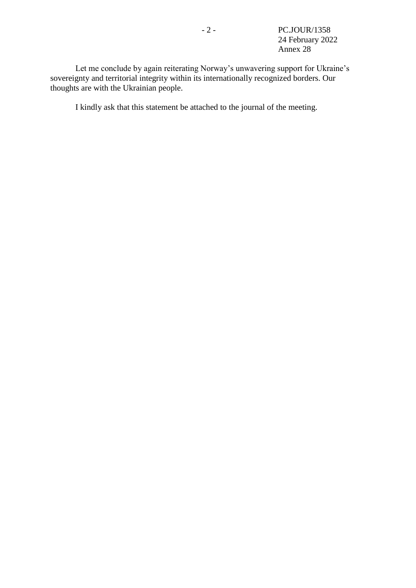Let me conclude by again reiterating Norway's unwavering support for Ukraine's sovereignty and territorial integrity within its internationally recognized borders. Our thoughts are with the Ukrainian people.

I kindly ask that this statement be attached to the journal of the meeting.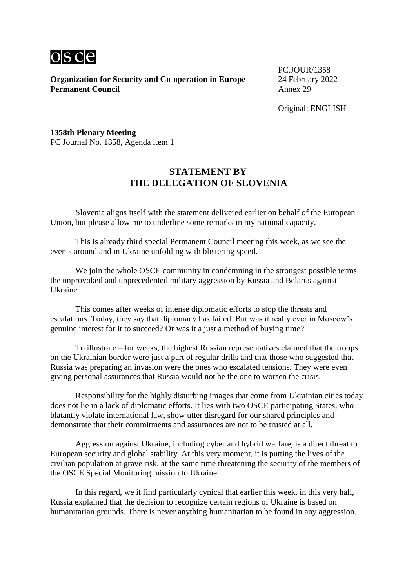

PC.JOUR/1358

Original: ENGLISH

**1358th Plenary Meeting** PC Journal No. 1358, Agenda item 1

# **STATEMENT BY THE DELEGATION OF SLOVENIA**

Slovenia aligns itself with the statement delivered earlier on behalf of the European Union, but please allow me to underline some remarks in my national capacity.

This is already third special Permanent Council meeting this week, as we see the events around and in Ukraine unfolding with blistering speed.

We join the whole OSCE community in condemning in the strongest possible terms the unprovoked and unprecedented military aggression by Russia and Belarus against Ukraine.

This comes after weeks of intense diplomatic efforts to stop the threats and escalations. Today, they say that diplomacy has failed. But was it really ever in Moscow's genuine interest for it to succeed? Or was it a just a method of buying time?

To illustrate – for weeks, the highest Russian representatives claimed that the troops on the Ukrainian border were just a part of regular drills and that those who suggested that Russia was preparing an invasion were the ones who escalated tensions. They were even giving personal assurances that Russia would not be the one to worsen the crisis.

Responsibility for the highly disturbing images that come from Ukrainian cities today does not lie in a lack of diplomatic efforts. It lies with two OSCE participating States, who blatantly violate international law, show utter disregard for our shared principles and demonstrate that their commitments and assurances are not to be trusted at all.

Aggression against Ukraine, including cyber and hybrid warfare, is a direct threat to European security and global stability. At this very moment, it is putting the lives of the civilian population at grave risk, at the same time threatening the security of the members of the OSCE Special Monitoring mission to Ukraine.

In this regard, we it find particularly cynical that earlier this week, in this very hall, Russia explained that the decision to recognize certain regions of Ukraine is based on humanitarian grounds. There is never anything humanitarian to be found in any aggression.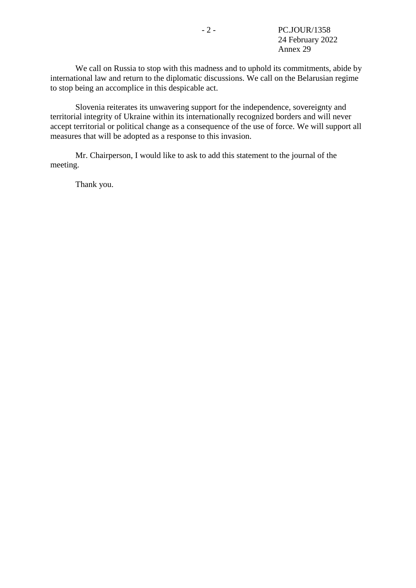We call on Russia to stop with this madness and to uphold its commitments, abide by international law and return to the diplomatic discussions. We call on the Belarusian regime to stop being an accomplice in this despicable act.

Slovenia reiterates its unwavering support for the independence, sovereignty and territorial integrity of Ukraine within its internationally recognized borders and will never accept territorial or political change as a consequence of the use of force. We will support all measures that will be adopted as a response to this invasion.

Mr. Chairperson, I would like to ask to add this statement to the journal of the meeting.

Thank you.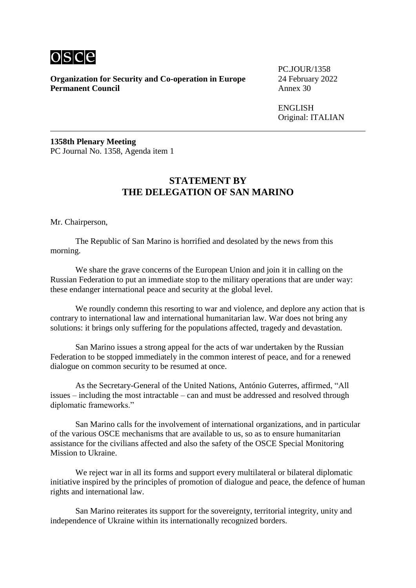

**Organization for Security and Co-operation in Europe** 24 February 2022<br>**Permanent Council** Annex 30 **Permanent Council** 

PC.JOUR/1358

ENGLISH Original: ITALIAN

**1358th Plenary Meeting** PC Journal No. 1358, Agenda item 1

#### **STATEMENT BY THE DELEGATION OF SAN MARINO**

Mr. Chairperson,

The Republic of San Marino is horrified and desolated by the news from this morning.

We share the grave concerns of the European Union and join it in calling on the Russian Federation to put an immediate stop to the military operations that are under way: these endanger international peace and security at the global level.

We roundly condemn this resorting to war and violence, and deplore any action that is contrary to international law and international humanitarian law. War does not bring any solutions: it brings only suffering for the populations affected, tragedy and devastation.

San Marino issues a strong appeal for the acts of war undertaken by the Russian Federation to be stopped immediately in the common interest of peace, and for a renewed dialogue on common security to be resumed at once.

As the Secretary-General of the United Nations, António Guterres, affirmed, "All issues – including the most intractable – can and must be addressed and resolved through diplomatic frameworks."

San Marino calls for the involvement of international organizations, and in particular of the various OSCE mechanisms that are available to us, so as to ensure humanitarian assistance for the civilians affected and also the safety of the OSCE Special Monitoring Mission to Ukraine.

We reject war in all its forms and support every multilateral or bilateral diplomatic initiative inspired by the principles of promotion of dialogue and peace, the defence of human rights and international law.

San Marino reiterates its support for the sovereignty, territorial integrity, unity and independence of Ukraine within its internationally recognized borders.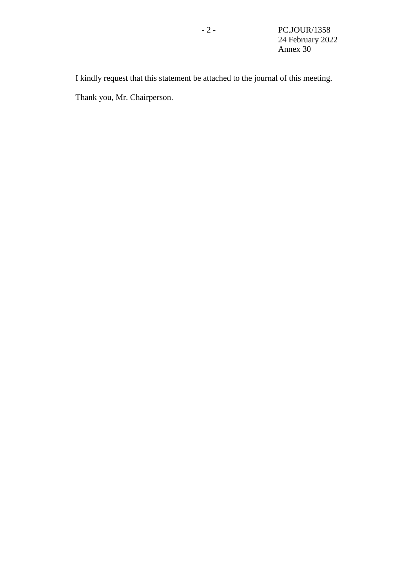I kindly request that this statement be attached to the journal of this meeting. Thank you, Mr. Chairperson.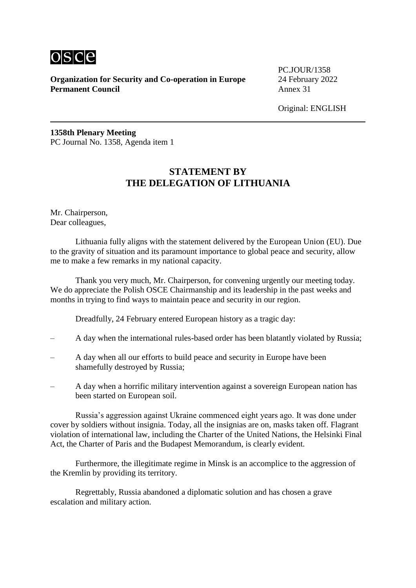

PC.JOUR/1358

Original: ENGLISH

**1358th Plenary Meeting** PC Journal No. 1358, Agenda item 1

# **STATEMENT BY THE DELEGATION OF LITHUANIA**

Mr. Chairperson, Dear colleagues,

Lithuania fully aligns with the statement delivered by the European Union (EU). Due to the gravity of situation and its paramount importance to global peace and security, allow me to make a few remarks in my national capacity.

Thank you very much, Mr. Chairperson, for convening urgently our meeting today. We do appreciate the Polish OSCE Chairmanship and its leadership in the past weeks and months in trying to find ways to maintain peace and security in our region.

Dreadfully, 24 February entered European history as a tragic day:

- A day when the international rules-based order has been blatantly violated by Russia;
- A day when all our efforts to build peace and security in Europe have been shamefully destroyed by Russia;
- A day when a horrific military intervention against a sovereign European nation has been started on European soil.

Russia's aggression against Ukraine commenced eight years ago. It was done under cover by soldiers without insignia. Today, all the insignias are on, masks taken off. Flagrant violation of international law, including the Charter of the United Nations, the Helsinki Final Act, the Charter of Paris and the Budapest Memorandum, is clearly evident.

Furthermore, the illegitimate regime in Minsk is an accomplice to the aggression of the Kremlin by providing its territory.

Regrettably, Russia abandoned a diplomatic solution and has chosen a grave escalation and military action.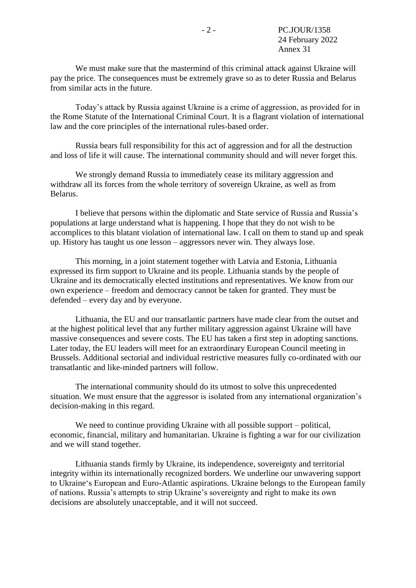We must make sure that the mastermind of this criminal attack against Ukraine will pay the price. The consequences must be extremely grave so as to deter Russia and Belarus from similar acts in the future.

Today's attack by Russia against Ukraine is a crime of aggression, as provided for in the Rome Statute of the International Criminal Court. It is a flagrant violation of international law and the core principles of the international rules-based order.

Russia bears full responsibility for this act of aggression and for all the destruction and loss of life it will cause. The international community should and will never forget this.

We strongly demand Russia to immediately cease its military aggression and withdraw all its forces from the whole territory of sovereign Ukraine, as well as from Belarus.

I believe that persons within the diplomatic and State service of Russia and Russia's populations at large understand what is happening. I hope that they do not wish to be accomplices to this blatant violation of international law. I call on them to stand up and speak up. History has taught us one lesson – aggressors never win. They always lose.

This morning, in a joint statement together with Latvia and Estonia, Lithuania expressed its firm support to Ukraine and its people. Lithuania stands by the people of Ukraine and its democratically elected institutions and representatives. We know from our own experience – freedom and democracy cannot be taken for granted. They must be defended – every day and by everyone.

Lithuania, the EU and our transatlantic partners have made clear from the outset and at the highest political level that any further military aggression against Ukraine will have massive consequences and severe costs. The EU has taken a first step in adopting sanctions. Later today, the EU leaders will meet for an extraordinary European Council meeting in Brussels. Additional sectorial and individual restrictive measures fully co-ordinated with our transatlantic and like-minded partners will follow.

The international community should do its utmost to solve this unprecedented situation. We must ensure that the aggressor is isolated from any international organization's decision-making in this regard.

We need to continue providing Ukraine with all possible support – political, economic, financial, military and humanitarian. Ukraine is fighting a war for our civilization and we will stand together.

Lithuania stands firmly by Ukraine, its independence, sovereignty and territorial integrity within its internationally recognized borders. We underline our unwavering support to Ukraine's European and Euro-Atlantic aspirations. Ukraine belongs to the European family of nations. Russia's attempts to strip Ukraine's sovereignty and right to make its own decisions are absolutely unacceptable, and it will not succeed.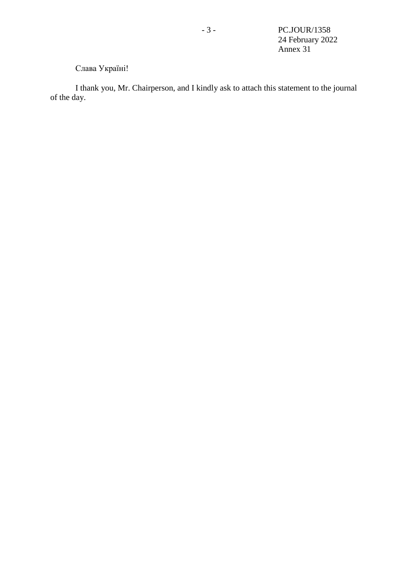# Слава Україні!

I thank you, Mr. Chairperson, and I kindly ask to attach this statement to the journal of the day.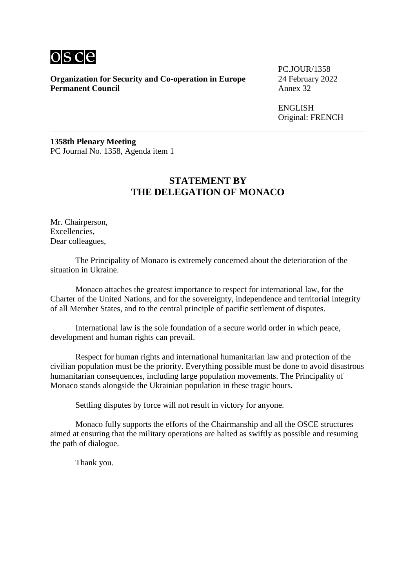

**Organization for Security and Co-operation in Europe** 24 February 2022<br>**Permanent Council** Annex 32 **Permanent Council** 

PC.JOUR/1358

ENGLISH Original: FRENCH

**1358th Plenary Meeting** PC Journal No. 1358, Agenda item 1

# **STATEMENT BY THE DELEGATION OF MONACO**

Mr. Chairperson, Excellencies, Dear colleagues,

The Principality of Monaco is extremely concerned about the deterioration of the situation in Ukraine.

Monaco attaches the greatest importance to respect for international law, for the Charter of the United Nations, and for the sovereignty, independence and territorial integrity of all Member States, and to the central principle of pacific settlement of disputes.

International law is the sole foundation of a secure world order in which peace, development and human rights can prevail.

Respect for human rights and international humanitarian law and protection of the civilian population must be the priority. Everything possible must be done to avoid disastrous humanitarian consequences, including large population movements. The Principality of Monaco stands alongside the Ukrainian population in these tragic hours.

Settling disputes by force will not result in victory for anyone.

Monaco fully supports the efforts of the Chairmanship and all the OSCE structures aimed at ensuring that the military operations are halted as swiftly as possible and resuming the path of dialogue.

Thank you.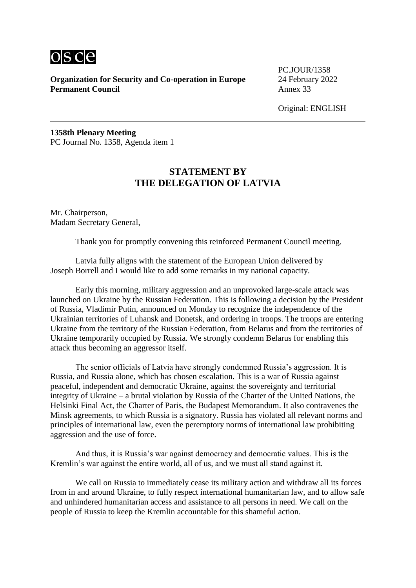

PC.JOUR/1358

Original: ENGLISH

**1358th Plenary Meeting** PC Journal No. 1358, Agenda item 1

# **STATEMENT BY THE DELEGATION OF LATVIA**

Mr. Chairperson, Madam Secretary General,

Thank you for promptly convening this reinforced Permanent Council meeting.

Latvia fully aligns with the statement of the European Union delivered by Joseph Borrell and I would like to add some remarks in my national capacity.

Early this morning, military aggression and an unprovoked large-scale attack was launched on Ukraine by the Russian Federation. This is following a decision by the President of Russia, Vladimir Putin, announced on Monday to recognize the independence of the Ukrainian territories of Luhansk and Donetsk, and ordering in troops. The troops are entering Ukraine from the territory of the Russian Federation, from Belarus and from the territories of Ukraine temporarily occupied by Russia. We strongly condemn Belarus for enabling this attack thus becoming an aggressor itself.

The senior officials of Latvia have strongly condemned Russia's aggression. It is Russia, and Russia alone, which has chosen escalation. This is a war of Russia against peaceful, independent and democratic Ukraine, against the sovereignty and territorial integrity of Ukraine – a brutal violation by Russia of the Charter of the United Nations, the Helsinki Final Act, the Charter of Paris, the Budapest Memorandum. It also contravenes the Minsk agreements, to which Russia is a signatory. Russia has violated all relevant norms and principles of international law, even the peremptory norms of international law prohibiting aggression and the use of force.

And thus, it is Russia's war against democracy and democratic values. This is the Kremlin's war against the entire world, all of us, and we must all stand against it.

We call on Russia to immediately cease its military action and withdraw all its forces from in and around Ukraine, to fully respect international humanitarian law, and to allow safe and unhindered humanitarian access and assistance to all persons in need. We call on the people of Russia to keep the Kremlin accountable for this shameful action.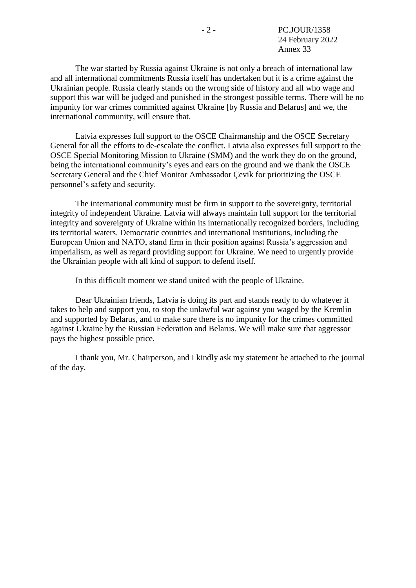The war started by Russia against Ukraine is not only a breach of international law and all international commitments Russia itself has undertaken but it is a crime against the Ukrainian people. Russia clearly stands on the wrong side of history and all who wage and support this war will be judged and punished in the strongest possible terms. There will be no impunity for war crimes committed against Ukraine [by Russia and Belarus] and we, the international community, will ensure that.

Latvia expresses full support to the OSCE Chairmanship and the OSCE Secretary General for all the efforts to de-escalate the conflict. Latvia also expresses full support to the OSCE Special Monitoring Mission to Ukraine (SMM) and the work they do on the ground, being the international community's eyes and ears on the ground and we thank the OSCE Secretary General and the Chief Monitor Ambassador Çevik for prioritizing the OSCE personnel's safety and security.

The international community must be firm in support to the sovereignty, territorial integrity of independent Ukraine. Latvia will always maintain full support for the territorial integrity and sovereignty of Ukraine within its internationally recognized borders, including its territorial waters. Democratic countries and international institutions, including the European Union and NATO, stand firm in their position against Russia's aggression and imperialism, as well as regard providing support for Ukraine. We need to urgently provide the Ukrainian people with all kind of support to defend itself.

In this difficult moment we stand united with the people of Ukraine.

Dear Ukrainian friends, Latvia is doing its part and stands ready to do whatever it takes to help and support you, to stop the unlawful war against you waged by the Kremlin and supported by Belarus, and to make sure there is no impunity for the crimes committed against Ukraine by the Russian Federation and Belarus. We will make sure that aggressor pays the highest possible price.

I thank you, Mr. Chairperson, and I kindly ask my statement be attached to the journal of the day.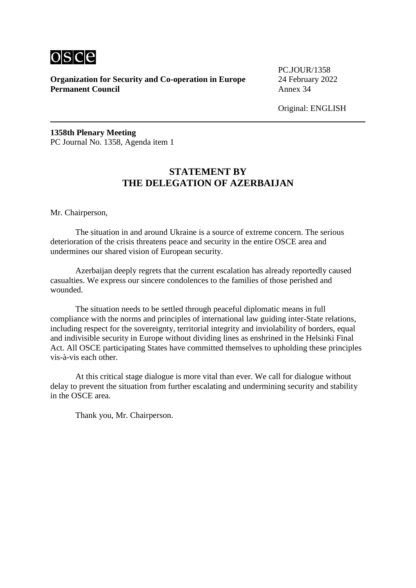

PC.JOUR/1358

Original: ENGLISH

**1358th Plenary Meeting** PC Journal No. 1358, Agenda item 1

# **STATEMENT BY THE DELEGATION OF AZERBAIJAN**

Mr. Chairperson,

The situation in and around Ukraine is a source of extreme concern. The serious deterioration of the crisis threatens peace and security in the entire OSCE area and undermines our shared vision of European security.

Azerbaijan deeply regrets that the current escalation has already reportedly caused casualties. We express our sincere condolences to the families of those perished and wounded.

The situation needs to be settled through peaceful diplomatic means in full compliance with the norms and principles of international law guiding inter-State relations, including respect for the sovereignty, territorial integrity and inviolability of borders, equal and indivisible security in Europe without dividing lines as enshrined in the Helsinki Final Act. All OSCE participating States have committed themselves to upholding these principles vis-à-vis each other.

At this critical stage dialogue is more vital than ever. We call for dialogue without delay to prevent the situation from further escalating and undermining security and stability in the OSCE area.

Thank you, Mr. Chairperson.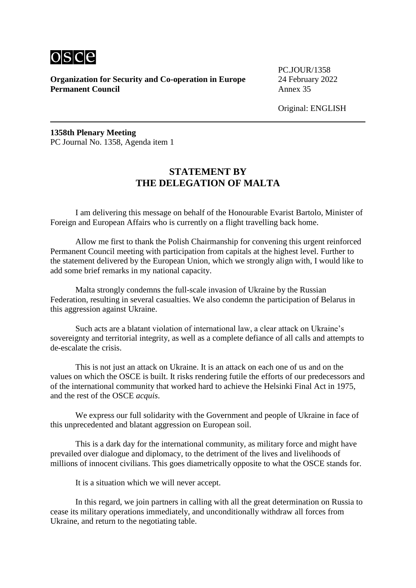

PC.JOUR/1358

Original: ENGLISH

**1358th Plenary Meeting** PC Journal No. 1358, Agenda item 1

# **STATEMENT BY THE DELEGATION OF MALTA**

I am delivering this message on behalf of the Honourable Evarist Bartolo, Minister of Foreign and European Affairs who is currently on a flight travelling back home.

Allow me first to thank the Polish Chairmanship for convening this urgent reinforced Permanent Council meeting with participation from capitals at the highest level. Further to the statement delivered by the European Union, which we strongly align with, I would like to add some brief remarks in my national capacity.

Malta strongly condemns the full-scale invasion of Ukraine by the Russian Federation, resulting in several casualties. We also condemn the participation of Belarus in this aggression against Ukraine.

Such acts are a blatant violation of international law, a clear attack on Ukraine's sovereignty and territorial integrity, as well as a complete defiance of all calls and attempts to de-escalate the crisis.

This is not just an attack on Ukraine. It is an attack on each one of us and on the values on which the OSCE is built. It risks rendering futile the efforts of our predecessors and of the international community that worked hard to achieve the Helsinki Final Act in 1975, and the rest of the OSCE *acquis*.

We express our full solidarity with the Government and people of Ukraine in face of this unprecedented and blatant aggression on European soil.

This is a dark day for the international community, as military force and might have prevailed over dialogue and diplomacy, to the detriment of the lives and livelihoods of millions of innocent civilians. This goes diametrically opposite to what the OSCE stands for.

It is a situation which we will never accept.

In this regard, we join partners in calling with all the great determination on Russia to cease its military operations immediately, and unconditionally withdraw all forces from Ukraine, and return to the negotiating table.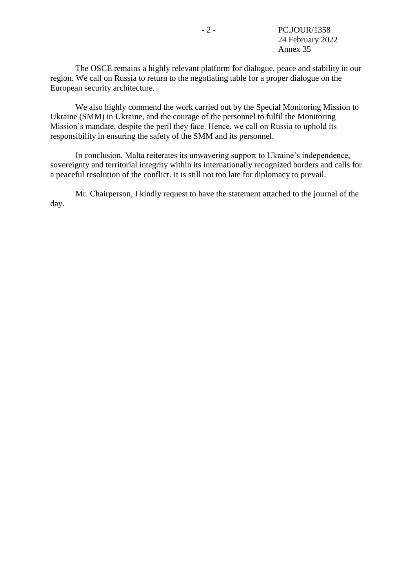The OSCE remains a highly relevant platform for dialogue, peace and stability in our region. We call on Russia to return to the negotiating table for a proper dialogue on the European security architecture.

We also highly commend the work carried out by the Special Monitoring Mission to Ukraine (SMM) in Ukraine, and the courage of the personnel to fulfil the Monitoring Mission's mandate, despite the peril they face. Hence, we call on Russia to uphold its responsibility in ensuring the safety of the SMM and its personnel.

In conclusion, Malta reiterates its unwavering support to Ukraine's independence, sovereignty and territorial integrity within its internationally recognized borders and calls for a peaceful resolution of the conflict. It is still not too late for diplomacy to prevail.

Mr. Chairperson, I kindly request to have the statement attached to the journal of the day.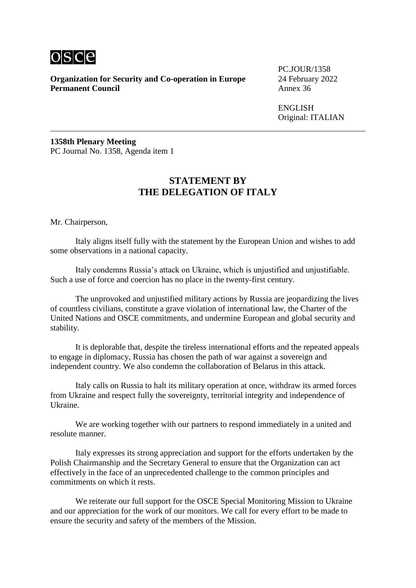

**Organization for Security and Co-operation in Europe** 24 February 2022<br>**Permanent Council** Annex 36 **Permanent Council** 

PC.JOUR/1358

ENGLISH Original: ITALIAN

**1358th Plenary Meeting** PC Journal No. 1358, Agenda item 1

#### **STATEMENT BY THE DELEGATION OF ITALY**

Mr. Chairperson,

Italy aligns itself fully with the statement by the European Union and wishes to add some observations in a national capacity.

Italy condemns Russia's attack on Ukraine, which is unjustified and unjustifiable. Such a use of force and coercion has no place in the twenty-first century.

The unprovoked and unjustified military actions by Russia are jeopardizing the lives of countless civilians, constitute a grave violation of international law, the Charter of the United Nations and OSCE commitments, and undermine European and global security and stability.

It is deplorable that, despite the tireless international efforts and the repeated appeals to engage in diplomacy, Russia has chosen the path of war against a sovereign and independent country. We also condemn the collaboration of Belarus in this attack.

Italy calls on Russia to halt its military operation at once, withdraw its armed forces from Ukraine and respect fully the sovereignty, territorial integrity and independence of Ukraine.

We are working together with our partners to respond immediately in a united and resolute manner.

Italy expresses its strong appreciation and support for the efforts undertaken by the Polish Chairmanship and the Secretary General to ensure that the Organization can act effectively in the face of an unprecedented challenge to the common principles and commitments on which it rests.

We reiterate our full support for the OSCE Special Monitoring Mission to Ukraine and our appreciation for the work of our monitors. We call for every effort to be made to ensure the security and safety of the members of the Mission.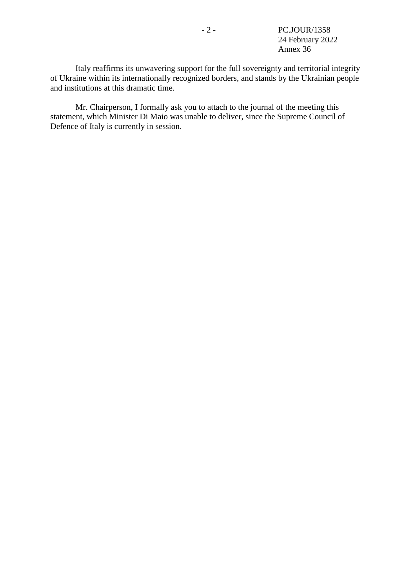Italy reaffirms its unwavering support for the full sovereignty and territorial integrity of Ukraine within its internationally recognized borders, and stands by the Ukrainian people and institutions at this dramatic time.

Mr. Chairperson, I formally ask you to attach to the journal of the meeting this statement, which Minister Di Maio was unable to deliver, since the Supreme Council of Defence of Italy is currently in session.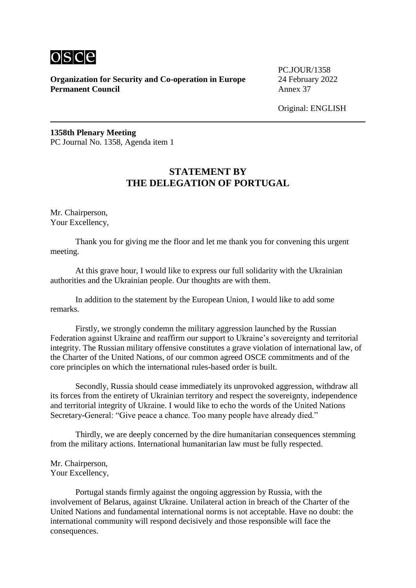

PC.JOUR/1358

Original: ENGLISH

**1358th Plenary Meeting** PC Journal No. 1358, Agenda item 1

# **STATEMENT BY THE DELEGATION OF PORTUGAL**

Mr. Chairperson, Your Excellency,

Thank you for giving me the floor and let me thank you for convening this urgent meeting.

At this grave hour, I would like to express our full solidarity with the Ukrainian authorities and the Ukrainian people. Our thoughts are with them.

In addition to the statement by the European Union, I would like to add some remarks.

Firstly, we strongly condemn the military aggression launched by the Russian Federation against Ukraine and reaffirm our support to Ukraine's sovereignty and territorial integrity. The Russian military offensive constitutes a grave violation of international law, of the Charter of the United Nations, of our common agreed OSCE commitments and of the core principles on which the international rules-based order is built.

Secondly, Russia should cease immediately its unprovoked aggression, withdraw all its forces from the entirety of Ukrainian territory and respect the sovereignty, independence and territorial integrity of Ukraine. I would like to echo the words of the United Nations Secretary-General: "Give peace a chance. Too many people have already died."

Thirdly, we are deeply concerned by the dire humanitarian consequences stemming from the military actions. International humanitarian law must be fully respected.

Mr. Chairperson, Your Excellency,

Portugal stands firmly against the ongoing aggression by Russia, with the involvement of Belarus, against Ukraine. Unilateral action in breach of the Charter of the United Nations and fundamental international norms is not acceptable. Have no doubt: the international community will respond decisively and those responsible will face the consequences.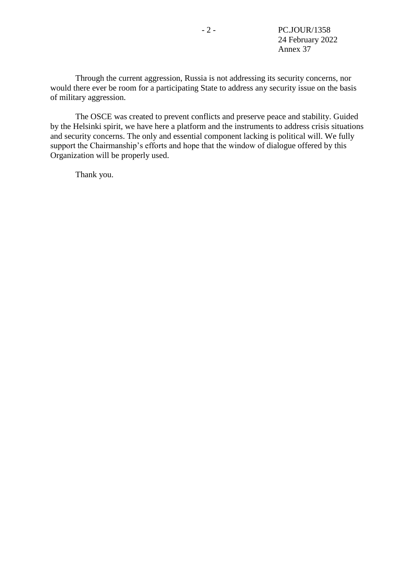Through the current aggression, Russia is not addressing its security concerns, nor would there ever be room for a participating State to address any security issue on the basis of military aggression.

The OSCE was created to prevent conflicts and preserve peace and stability. Guided by the Helsinki spirit, we have here a platform and the instruments to address crisis situations and security concerns. The only and essential component lacking is political will. We fully support the Chairmanship's efforts and hope that the window of dialogue offered by this Organization will be properly used.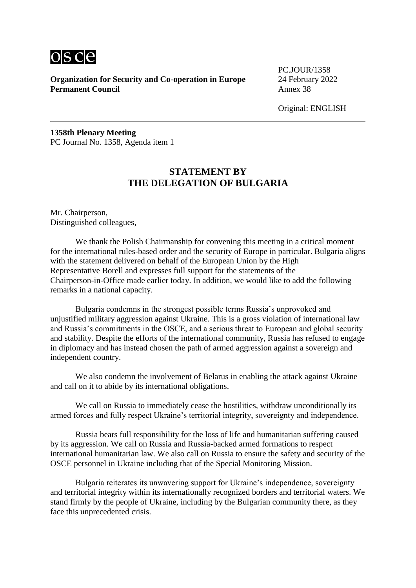

PC.JOUR/1358

Original: ENGLISH

**1358th Plenary Meeting** PC Journal No. 1358, Agenda item 1

## **STATEMENT BY THE DELEGATION OF BULGARIA**

Mr. Chairperson, Distinguished colleagues,

We thank the Polish Chairmanship for convening this meeting in a critical moment for the international rules-based order and the security of Europe in particular. Bulgaria aligns with the statement delivered on behalf of the European Union by the High Representative Borell and expresses full support for the statements of the Chairperson-in-Office made earlier today. In addition, we would like to add the following remarks in a national capacity.

Bulgaria condemns in the strongest possible terms Russia's unprovoked and unjustified military aggression against Ukraine. This is a gross violation of international law and Russia's commitments in the OSCE, and a serious threat to European and global security and stability. Despite the efforts of the international community, Russia has refused to engage in diplomacy and has instead chosen the path of armed aggression against a sovereign and independent country.

We also condemn the involvement of Belarus in enabling the attack against Ukraine and call on it to abide by its international obligations.

We call on Russia to immediately cease the hostilities, withdraw unconditionally its armed forces and fully respect Ukraine's territorial integrity, sovereignty and independence.

Russia bears full responsibility for the loss of life and humanitarian suffering caused by its aggression. We call on Russia and Russia-backed armed formations to respect international humanitarian law. We also call on Russia to ensure the safety and security of the OSCE personnel in Ukraine including that of the Special Monitoring Mission.

Bulgaria reiterates its unwavering support for Ukraine's independence, sovereignty and territorial integrity within its internationally recognized borders and territorial waters. We stand firmly by the people of Ukraine, including by the Bulgarian community there, as they face this unprecedented crisis.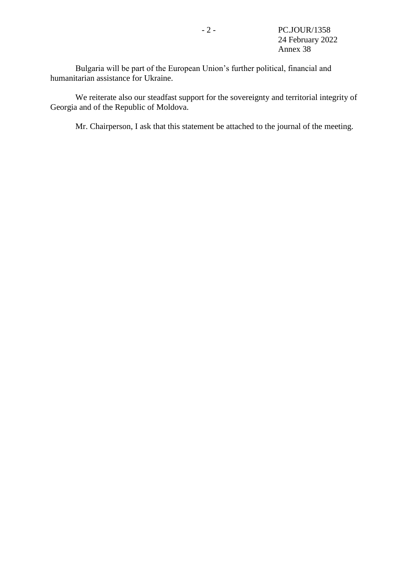Bulgaria will be part of the European Union's further political, financial and humanitarian assistance for Ukraine.

We reiterate also our steadfast support for the sovereignty and territorial integrity of Georgia and of the Republic of Moldova.

Mr. Chairperson, I ask that this statement be attached to the journal of the meeting.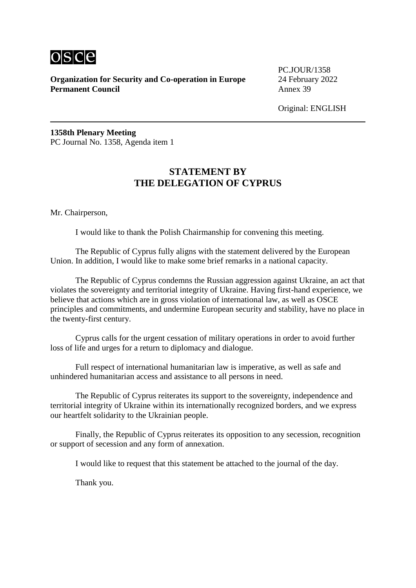

PC.JOUR/1358

Original: ENGLISH

**1358th Plenary Meeting** PC Journal No. 1358, Agenda item 1

# **STATEMENT BY THE DELEGATION OF CYPRUS**

Mr. Chairperson,

I would like to thank the Polish Chairmanship for convening this meeting.

The Republic of Cyprus fully aligns with the statement delivered by the European Union. In addition, I would like to make some brief remarks in a national capacity.

The Republic of Cyprus condemns the Russian aggression against Ukraine, an act that violates the sovereignty and territorial integrity of Ukraine. Having first-hand experience, we believe that actions which are in gross violation of international law, as well as OSCE principles and commitments, and undermine European security and stability, have no place in the twenty-first century.

Cyprus calls for the urgent cessation of military operations in order to avoid further loss of life and urges for a return to diplomacy and dialogue.

Full respect of international humanitarian law is imperative, as well as safe and unhindered humanitarian access and assistance to all persons in need.

The Republic of Cyprus reiterates its support to the sovereignty, independence and territorial integrity of Ukraine within its internationally recognized borders, and we express our heartfelt solidarity to the Ukrainian people.

Finally, the Republic of Cyprus reiterates its opposition to any secession, recognition or support of secession and any form of annexation.

I would like to request that this statement be attached to the journal of the day.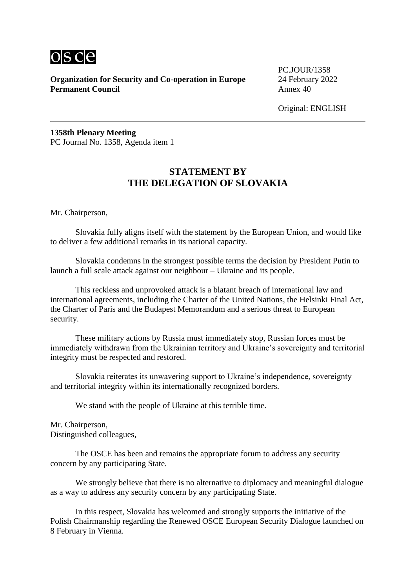

PC.JOUR/1358

Original: ENGLISH

**1358th Plenary Meeting** PC Journal No. 1358, Agenda item 1

# **STATEMENT BY THE DELEGATION OF SLOVAKIA**

Mr. Chairperson,

Slovakia fully aligns itself with the statement by the European Union, and would like to deliver a few additional remarks in its national capacity.

Slovakia condemns in the strongest possible terms the decision by President Putin to launch a full scale attack against our neighbour – Ukraine and its people.

This reckless and unprovoked attack is a blatant breach of international law and international agreements, including the Charter of the United Nations, the Helsinki Final Act, the Charter of Paris and the Budapest Memorandum and a serious threat to European security.

These military actions by Russia must immediately stop, Russian forces must be immediately withdrawn from the Ukrainian territory and Ukraine's sovereignty and territorial integrity must be respected and restored.

Slovakia reiterates its unwavering support to Ukraine's independence, sovereignty and territorial integrity within its internationally recognized borders.

We stand with the people of Ukraine at this terrible time.

Mr. Chairperson, Distinguished colleagues,

The OSCE has been and remains the appropriate forum to address any security concern by any participating State.

We strongly believe that there is no alternative to diplomacy and meaningful dialogue as a way to address any security concern by any participating State.

In this respect, Slovakia has welcomed and strongly supports the initiative of the Polish Chairmanship regarding the Renewed OSCE European Security Dialogue launched on 8 February in Vienna.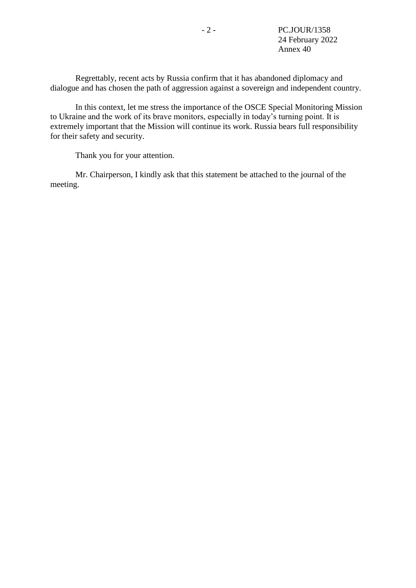Regrettably, recent acts by Russia confirm that it has abandoned diplomacy and dialogue and has chosen the path of aggression against a sovereign and independent country.

In this context, let me stress the importance of the OSCE Special Monitoring Mission to Ukraine and the work of its brave monitors, especially in today's turning point. It is extremely important that the Mission will continue its work. Russia bears full responsibility for their safety and security.

Thank you for your attention.

Mr. Chairperson, I kindly ask that this statement be attached to the journal of the meeting.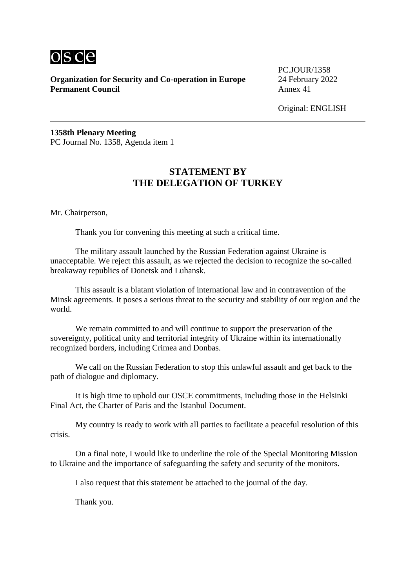

PC.JOUR/1358

Original: ENGLISH

**1358th Plenary Meeting** PC Journal No. 1358, Agenda item 1

# **STATEMENT BY THE DELEGATION OF TURKEY**

Mr. Chairperson,

Thank you for convening this meeting at such a critical time.

The military assault launched by the Russian Federation against Ukraine is unacceptable. We reject this assault, as we rejected the decision to recognize the so-called breakaway republics of Donetsk and Luhansk.

This assault is a blatant violation of international law and in contravention of the Minsk agreements. It poses a serious threat to the security and stability of our region and the world.

We remain committed to and will continue to support the preservation of the sovereignty, political unity and territorial integrity of Ukraine within its internationally recognized borders, including Crimea and Donbas.

We call on the Russian Federation to stop this unlawful assault and get back to the path of dialogue and diplomacy.

It is high time to uphold our OSCE commitments, including those in the Helsinki Final Act, the Charter of Paris and the Istanbul Document.

My country is ready to work with all parties to facilitate a peaceful resolution of this crisis.

On a final note, I would like to underline the role of the Special Monitoring Mission to Ukraine and the importance of safeguarding the safety and security of the monitors.

I also request that this statement be attached to the journal of the day.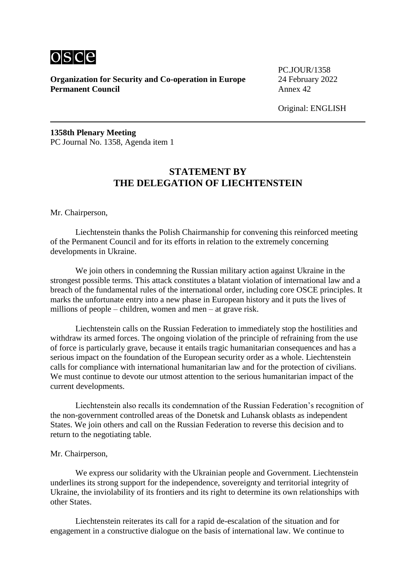

PC.JOUR/1358

Original: ENGLISH

**1358th Plenary Meeting** PC Journal No. 1358, Agenda item 1

# **STATEMENT BY THE DELEGATION OF LIECHTENSTEIN**

Mr. Chairperson,

Liechtenstein thanks the Polish Chairmanship for convening this reinforced meeting of the Permanent Council and for its efforts in relation to the extremely concerning developments in Ukraine.

We join others in condemning the Russian military action against Ukraine in the strongest possible terms. This attack constitutes a blatant violation of international law and a breach of the fundamental rules of the international order, including core OSCE principles. It marks the unfortunate entry into a new phase in European history and it puts the lives of millions of people – children, women and men – at grave risk.

Liechtenstein calls on the Russian Federation to immediately stop the hostilities and withdraw its armed forces. The ongoing violation of the principle of refraining from the use of force is particularly grave, because it entails tragic humanitarian consequences and has a serious impact on the foundation of the European security order as a whole. Liechtenstein calls for compliance with international humanitarian law and for the protection of civilians. We must continue to devote our utmost attention to the serious humanitarian impact of the current developments.

Liechtenstein also recalls its condemnation of the Russian Federation's recognition of the non-government controlled areas of the Donetsk and Luhansk oblasts as independent States. We join others and call on the Russian Federation to reverse this decision and to return to the negotiating table.

#### Mr. Chairperson,

We express our solidarity with the Ukrainian people and Government. Liechtenstein underlines its strong support for the independence, sovereignty and territorial integrity of Ukraine, the inviolability of its frontiers and its right to determine its own relationships with other States.

Liechtenstein reiterates its call for a rapid de-escalation of the situation and for engagement in a constructive dialogue on the basis of international law. We continue to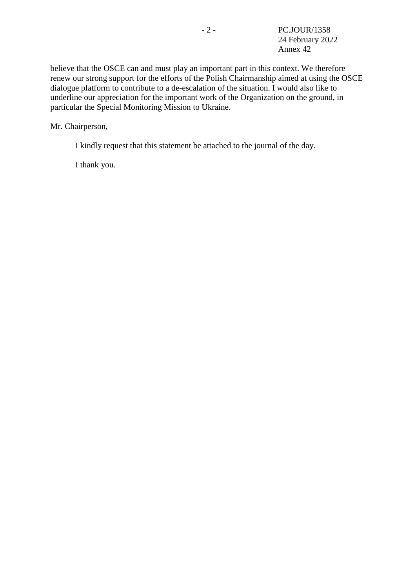believe that the OSCE can and must play an important part in this context. We therefore renew our strong support for the efforts of the Polish Chairmanship aimed at using the OSCE dialogue platform to contribute to a de-escalation of the situation. I would also like to underline our appreciation for the important work of the Organization on the ground, in particular the Special Monitoring Mission to Ukraine.

Mr. Chairperson,

I kindly request that this statement be attached to the journal of the day.

I thank you.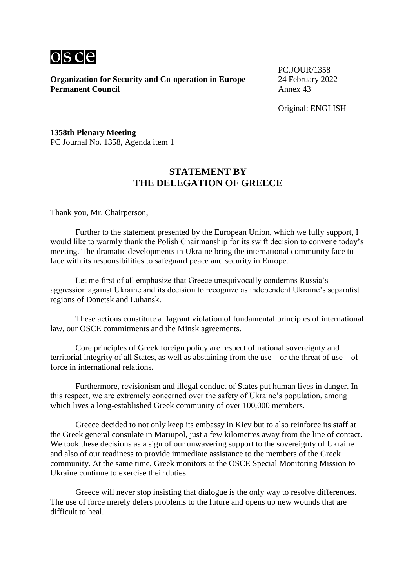

PC.JOUR/1358

Original: ENGLISH

**1358th Plenary Meeting** PC Journal No. 1358, Agenda item 1

# **STATEMENT BY THE DELEGATION OF GREECE**

Thank you, Mr. Chairperson,

Further to the statement presented by the European Union, which we fully support, I would like to warmly thank the Polish Chairmanship for its swift decision to convene today's meeting. The dramatic developments in Ukraine bring the international community face to face with its responsibilities to safeguard peace and security in Europe.

Let me first of all emphasize that Greece unequivocally condemns Russia's aggression against Ukraine and its decision to recognize as independent Ukraine's separatist regions of Donetsk and Luhansk.

These actions constitute a flagrant violation of fundamental principles of international law, our OSCE commitments and the Minsk agreements.

Core principles of Greek foreign policy are respect of national sovereignty and territorial integrity of all States, as well as abstaining from the use – or the threat of use – of force in international relations.

Furthermore, revisionism and illegal conduct of States put human lives in danger. In this respect, we are extremely concerned over the safety of Ukraine's population, among which lives a long-established Greek community of over 100,000 members.

Greece decided to not only keep its embassy in Kiev but to also reinforce its staff at the Greek general consulate in Mariupol, just a few kilometres away from the line of contact. We took these decisions as a sign of our unwavering support to the sovereignty of Ukraine and also of our readiness to provide immediate assistance to the members of the Greek community. At the same time, Greek monitors at the OSCE Special Monitoring Mission to Ukraine continue to exercise their duties.

Greece will never stop insisting that dialogue is the only way to resolve differences. The use of force merely defers problems to the future and opens up new wounds that are difficult to heal.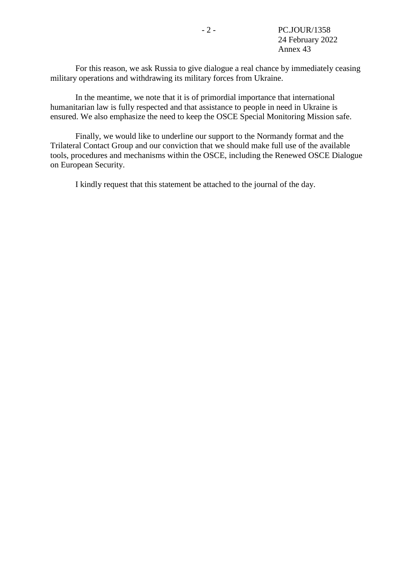For this reason, we ask Russia to give dialogue a real chance by immediately ceasing military operations and withdrawing its military forces from Ukraine.

In the meantime, we note that it is of primordial importance that international humanitarian law is fully respected and that assistance to people in need in Ukraine is ensured. We also emphasize the need to keep the OSCE Special Monitoring Mission safe.

Finally, we would like to underline our support to the Normandy format and the Trilateral Contact Group and our conviction that we should make full use of the available tools, procedures and mechanisms within the OSCE, including the Renewed OSCE Dialogue on European Security.

I kindly request that this statement be attached to the journal of the day.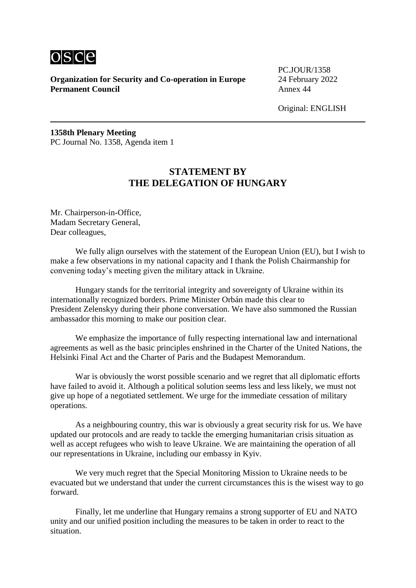

PC.JOUR/1358

Original: ENGLISH

**1358th Plenary Meeting** PC Journal No. 1358, Agenda item 1

# **STATEMENT BY THE DELEGATION OF HUNGARY**

Mr. Chairperson-in-Office, Madam Secretary General, Dear colleagues,

We fully align ourselves with the statement of the European Union (EU), but I wish to make a few observations in my national capacity and I thank the Polish Chairmanship for convening today's meeting given the military attack in Ukraine.

Hungary stands for the territorial integrity and sovereignty of Ukraine within its internationally recognized borders. Prime Minister Orbán made this clear to President Zelenskyy during their phone conversation. We have also summoned the Russian ambassador this morning to make our position clear.

We emphasize the importance of fully respecting international law and international agreements as well as the basic principles enshrined in the Charter of the United Nations, the Helsinki Final Act and the Charter of Paris and the Budapest Memorandum.

War is obviously the worst possible scenario and we regret that all diplomatic efforts have failed to avoid it. Although a political solution seems less and less likely, we must not give up hope of a negotiated settlement. We urge for the immediate cessation of military operations.

As a neighbouring country, this war is obviously a great security risk for us. We have updated our protocols and are ready to tackle the emerging humanitarian crisis situation as well as accept refugees who wish to leave Ukraine. We are maintaining the operation of all our representations in Ukraine, including our embassy in Kyiv.

We very much regret that the Special Monitoring Mission to Ukraine needs to be evacuated but we understand that under the current circumstances this is the wisest way to go forward.

Finally, let me underline that Hungary remains a strong supporter of EU and NATO unity and our unified position including the measures to be taken in order to react to the situation.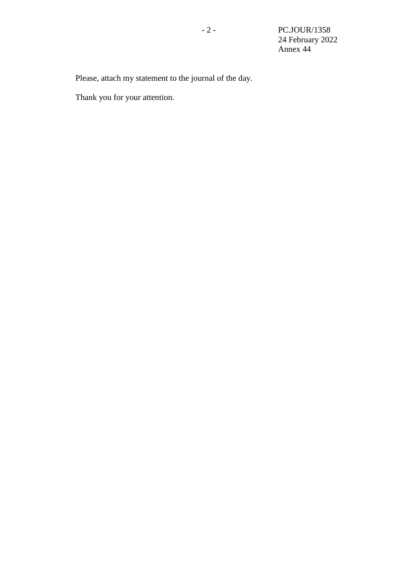Please, attach my statement to the journal of the day.

Thank you for your attention.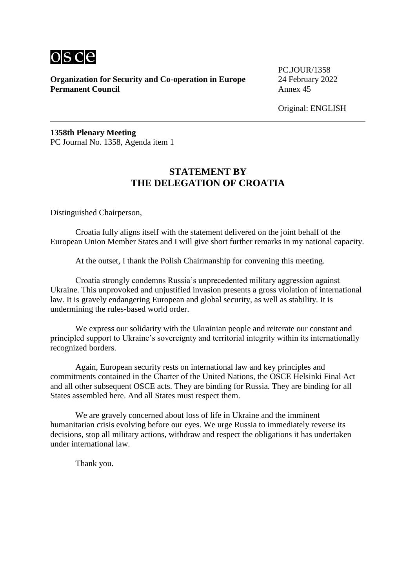

PC.JOUR/1358

Original: ENGLISH

**1358th Plenary Meeting** PC Journal No. 1358, Agenda item 1

# **STATEMENT BY THE DELEGATION OF CROATIA**

Distinguished Chairperson,

Croatia fully aligns itself with the statement delivered on the joint behalf of the European Union Member States and I will give short further remarks in my national capacity.

At the outset, I thank the Polish Chairmanship for convening this meeting.

Croatia strongly condemns Russia's unprecedented military aggression against Ukraine. This unprovoked and unjustified invasion presents a gross violation of international law. It is gravely endangering European and global security, as well as stability. It is undermining the rules-based world order.

We express our solidarity with the Ukrainian people and reiterate our constant and principled support to Ukraine's sovereignty and territorial integrity within its internationally recognized borders.

Again, European security rests on international law and key principles and commitments contained in the Charter of the United Nations, the OSCE Helsinki Final Act and all other subsequent OSCE acts. They are binding for Russia. They are binding for all States assembled here. And all States must respect them.

We are gravely concerned about loss of life in Ukraine and the imminent humanitarian crisis evolving before our eyes. We urge Russia to immediately reverse its decisions, stop all military actions, withdraw and respect the obligations it has undertaken under international law.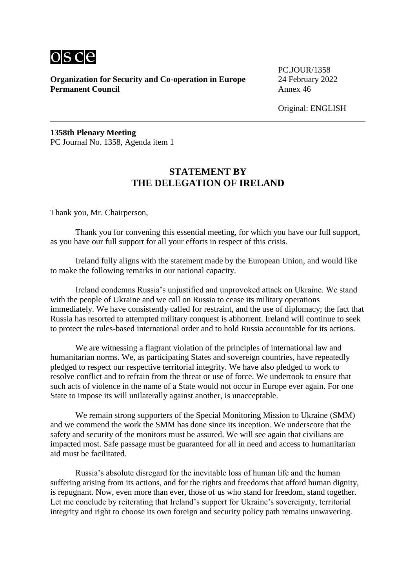

PC.JOUR/1358

Original: ENGLISH

**1358th Plenary Meeting** PC Journal No. 1358, Agenda item 1

# **STATEMENT BY THE DELEGATION OF IRELAND**

Thank you, Mr. Chairperson,

Thank you for convening this essential meeting, for which you have our full support, as you have our full support for all your efforts in respect of this crisis.

Ireland fully aligns with the statement made by the European Union, and would like to make the following remarks in our national capacity.

Ireland condemns Russia's unjustified and unprovoked attack on Ukraine. We stand with the people of Ukraine and we call on Russia to cease its military operations immediately. We have consistently called for restraint, and the use of diplomacy; the fact that Russia has resorted to attempted military conquest is abhorrent. Ireland will continue to seek to protect the rules-based international order and to hold Russia accountable for its actions.

We are witnessing a flagrant violation of the principles of international law and humanitarian norms. We, as participating States and sovereign countries, have repeatedly pledged to respect our respective territorial integrity. We have also pledged to work to resolve conflict and to refrain from the threat or use of force. We undertook to ensure that such acts of violence in the name of a State would not occur in Europe ever again. For one State to impose its will unilaterally against another, is unacceptable.

We remain strong supporters of the Special Monitoring Mission to Ukraine (SMM) and we commend the work the SMM has done since its inception. We underscore that the safety and security of the monitors must be assured. We will see again that civilians are impacted most. Safe passage must be guaranteed for all in need and access to humanitarian aid must be facilitated.

Russia's absolute disregard for the inevitable loss of human life and the human suffering arising from its actions, and for the rights and freedoms that afford human dignity, is repugnant. Now, even more than ever, those of us who stand for freedom, stand together. Let me conclude by reiterating that Ireland's support for Ukraine's sovereignty, territorial integrity and right to choose its own foreign and security policy path remains unwavering.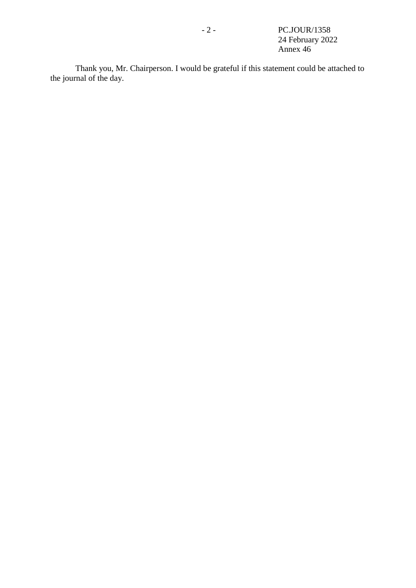Thank you, Mr. Chairperson. I would be grateful if this statement could be attached to the journal of the day.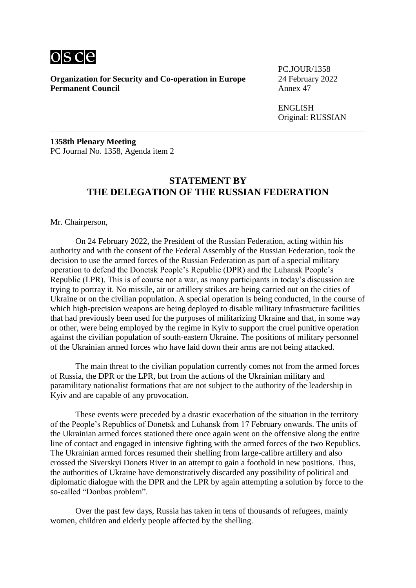

**Organization for Security and Co-operation in Europe** 24 February 2022<br>**Permanent Council** Annex 47 **Permanent Council** 

PC.JOUR/1358

ENGLISH Original: RUSSIAN

**1358th Plenary Meeting** PC Journal No. 1358, Agenda item 2

#### **STATEMENT BY THE DELEGATION OF THE RUSSIAN FEDERATION**

Mr. Chairperson,

On 24 February 2022, the President of the Russian Federation, acting within his authority and with the consent of the Federal Assembly of the Russian Federation, took the decision to use the armed forces of the Russian Federation as part of a special military operation to defend the Donetsk People's Republic (DPR) and the Luhansk People's Republic (LPR). This is of course not a war, as many participants in today's discussion are trying to portray it. No missile, air or artillery strikes are being carried out on the cities of Ukraine or on the civilian population. A special operation is being conducted, in the course of which high-precision weapons are being deployed to disable military infrastructure facilities that had previously been used for the purposes of militarizing Ukraine and that, in some way or other, were being employed by the regime in Kyiv to support the cruel punitive operation against the civilian population of south-eastern Ukraine. The positions of military personnel of the Ukrainian armed forces who have laid down their arms are not being attacked.

The main threat to the civilian population currently comes not from the armed forces of Russia, the DPR or the LPR, but from the actions of the Ukrainian military and paramilitary nationalist formations that are not subject to the authority of the leadership in Kyiv and are capable of any provocation.

These events were preceded by a drastic exacerbation of the situation in the territory of the People's Republics of Donetsk and Luhansk from 17 February onwards. The units of the Ukrainian armed forces stationed there once again went on the offensive along the entire line of contact and engaged in intensive fighting with the armed forces of the two Republics. The Ukrainian armed forces resumed their shelling from large-calibre artillery and also crossed the Siverskyi Donets River in an attempt to gain a foothold in new positions. Thus, the authorities of Ukraine have demonstratively discarded any possibility of political and diplomatic dialogue with the DPR and the LPR by again attempting a solution by force to the so-called "Donbas problem".

Over the past few days, Russia has taken in tens of thousands of refugees, mainly women, children and elderly people affected by the shelling.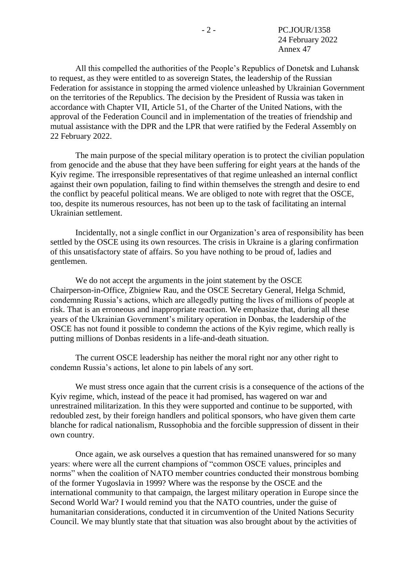All this compelled the authorities of the People's Republics of Donetsk and Luhansk to request, as they were entitled to as sovereign States, the leadership of the Russian Federation for assistance in stopping the armed violence unleashed by Ukrainian Government on the territories of the Republics. The decision by the President of Russia was taken in accordance with Chapter VII, Article 51, of the Charter of the United Nations, with the approval of the Federation Council and in implementation of the treaties of friendship and mutual assistance with the DPR and the LPR that were ratified by the Federal Assembly on 22 February 2022.

The main purpose of the special military operation is to protect the civilian population from genocide and the abuse that they have been suffering for eight years at the hands of the Kyiv regime. The irresponsible representatives of that regime unleashed an internal conflict against their own population, failing to find within themselves the strength and desire to end the conflict by peaceful political means. We are obliged to note with regret that the OSCE, too, despite its numerous resources, has not been up to the task of facilitating an internal Ukrainian settlement.

Incidentally, not a single conflict in our Organization's area of responsibility has been settled by the OSCE using its own resources. The crisis in Ukraine is a glaring confirmation of this unsatisfactory state of affairs. So you have nothing to be proud of, ladies and gentlemen.

We do not accept the arguments in the joint statement by the OSCE Chairperson-in-Office, Zbigniew Rau, and the OSCE Secretary General, Helga Schmid, condemning Russia's actions, which are allegedly putting the lives of millions of people at risk. That is an erroneous and inappropriate reaction. We emphasize that, during all these years of the Ukrainian Government's military operation in Donbas, the leadership of the OSCE has not found it possible to condemn the actions of the Kyiv regime, which really is putting millions of Donbas residents in a life-and-death situation.

The current OSCE leadership has neither the moral right nor any other right to condemn Russia's actions, let alone to pin labels of any sort.

We must stress once again that the current crisis is a consequence of the actions of the Kyiv regime, which, instead of the peace it had promised, has wagered on war and unrestrained militarization. In this they were supported and continue to be supported, with redoubled zest, by their foreign handlers and political sponsors, who have given them carte blanche for radical nationalism, Russophobia and the forcible suppression of dissent in their own country.

Once again, we ask ourselves a question that has remained unanswered for so many years: where were all the current champions of "common OSCE values, principles and norms" when the coalition of NATO member countries conducted their monstrous bombing of the former Yugoslavia in 1999? Where was the response by the OSCE and the international community to that campaign, the largest military operation in Europe since the Second World War? I would remind you that the NATO countries, under the guise of humanitarian considerations, conducted it in circumvention of the United Nations Security Council. We may bluntly state that that situation was also brought about by the activities of